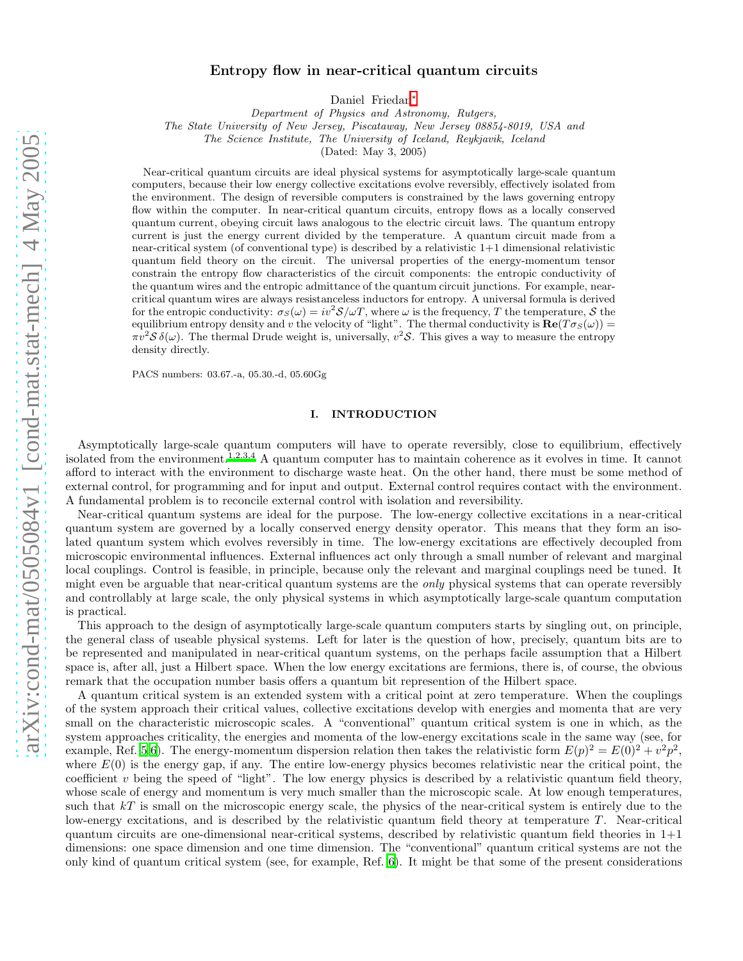# Entropy flow in near-critical quantum circuits

Daniel Friedan[∗](#page-17-0)

Department of Physics and Astronomy, Rutgers,

The State University of New Jersey, Piscataway, New Jersey 08854-8019, USA and

The Science Institute, The University of Iceland, Reykjavik, Iceland

(Dated: May 3, 2005)

Near-critical quantum circuits are ideal physical systems for asymptotically large-scale quantum computers, because their low energy collective excitations evolve reversibly, effectively isolated from the environment. The design of reversible computers is constrained by the laws governing entropy flow within the computer. In near-critical quantum circuits, entropy flows as a locally conserved quantum current, obeying circuit laws analogous to the electric circuit laws. The quantum entropy current is just the energy current divided by the temperature. A quantum circuit made from a near-critical system (of conventional type) is described by a relativistic 1+1 dimensional relativistic quantum field theory on the circuit. The universal properties of the energy-momentum tensor constrain the entropy flow characteristics of the circuit components: the entropic conductivity of the quantum wires and the entropic admittance of the quantum circuit junctions. For example, nearcritical quantum wires are always resistanceless inductors for entropy. A universal formula is derived for the entropic conductivity:  $\sigma_S(\omega) = iv^2 S/\omega T$ , where  $\omega$  is the frequency, T the temperature, S the equilibrium entropy density and v the velocity of "light". The thermal conductivity is  $\mathbf{Re}(T\sigma_S(\omega))$  =  $\pi v^2 S \delta(\omega)$ . The thermal Drude weight is, universally,  $v^2 S$ . This gives a way to measure the entropy density directly.

PACS numbers: 03.67.-a, 05.30.-d, 05.60Gg

## I. INTRODUCTION

Asymptotically large-scale quantum computers will have to operate reversibly, close to equilibrium, effectively isolated from the environment.<sup>[1](#page-17-1)[,2](#page-17-2)[,3](#page-17-3)[,4](#page-17-4)</sup> A quantum computer has to maintain coherence as it evolves in time. It cannot afford to interact with the environment to discharge waste heat. On the other hand, there must be some method of external control, for programming and for input and output. External control requires contact with the environment. A fundamental problem is to reconcile external control with isolation and reversibility.

Near-critical quantum systems are ideal for the purpose. The low-energy collective excitations in a near-critical quantum system are governed by a locally conserved energy density operator. This means that they form an isolated quantum system which evolves reversibly in time. The low-energy excitations are effectively decoupled from microscopic environmental influences. External influences act only through a small number of relevant and marginal local couplings. Control is feasible, in principle, because only the relevant and marginal couplings need be tuned. It might even be arguable that near-critical quantum systems are the only physical systems that can operate reversibly and controllably at large scale, the only physical systems in which asymptotically large-scale quantum computation is practical.

This approach to the design of asymptotically large-scale quantum computers starts by singling out, on principle, the general class of useable physical systems. Left for later is the question of how, precisely, quantum bits are to be represented and manipulated in near-critical quantum systems, on the perhaps facile assumption that a Hilbert space is, after all, just a Hilbert space. When the low energy excitations are fermions, there is, of course, the obvious remark that the occupation number basis offers a quantum bit represention of the Hilbert space.

A quantum critical system is an extended system with a critical point at zero temperature. When the couplings of the system approach their critical values, collective excitations develop with energies and momenta that are very small on the characteristic microscopic scales. A "conventional" quantum critical system is one in which, as the system approaches criticality, the energies and momenta of the low-energy excitations scale in the same way (see, for example, Ref. [5](#page-17-5)[,6](#page-17-6)). The energy-momentum dispersion relation then takes the relativistic form  $E(p)^2 = E(0)^2 + v^2 p^2$ , where  $E(0)$  is the energy gap, if any. The entire low-energy physics becomes relativistic near the critical point, the coefficient v being the speed of "light". The low energy physics is described by a relativistic quantum field theory, whose scale of energy and momentum is very much smaller than the microscopic scale. At low enough temperatures, such that  $kT$  is small on the microscopic energy scale, the physics of the near-critical system is entirely due to the low-energy excitations, and is described by the relativistic quantum field theory at temperature  $T$ . Near-critical quantum circuits are one-dimensional near-critical systems, described by relativistic quantum field theories in 1+1 dimensions: one space dimension and one time dimension. The "conventional" quantum critical systems are not the only kind of quantum critical system (see, for example, Ref. [6](#page-17-6)). It might be that some of the present considerations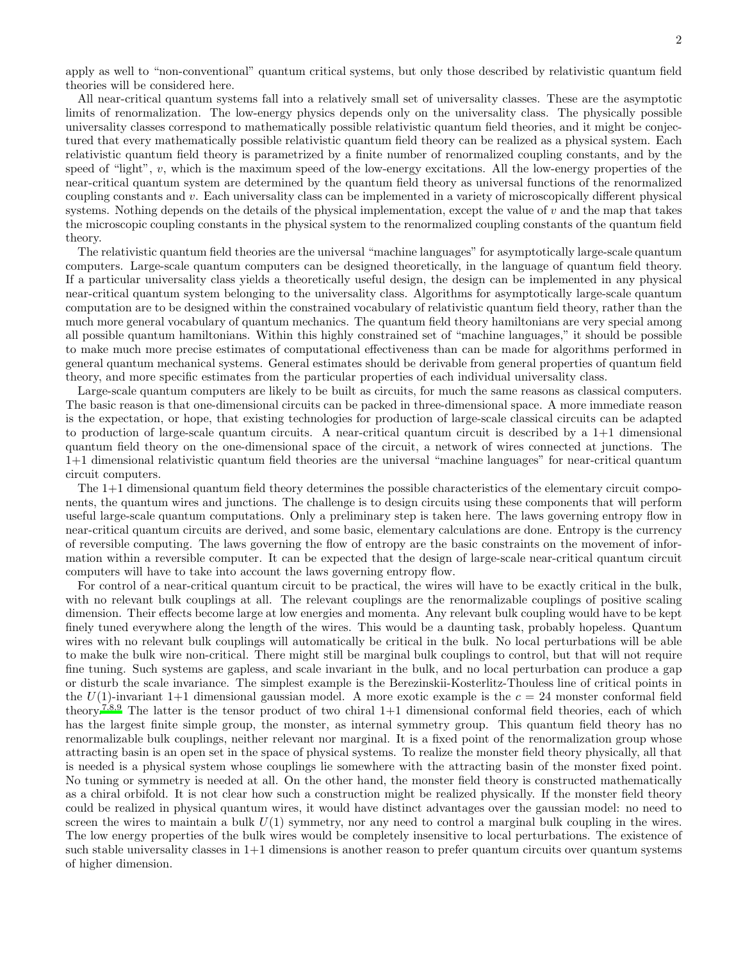apply as well to "non-conventional" quantum critical systems, but only those described by relativistic quantum field theories will be considered here.

All near-critical quantum systems fall into a relatively small set of universality classes. These are the asymptotic limits of renormalization. The low-energy physics depends only on the universality class. The physically possible universality classes correspond to mathematically possible relativistic quantum field theories, and it might be conjectured that every mathematically possible relativistic quantum field theory can be realized as a physical system. Each relativistic quantum field theory is parametrized by a finite number of renormalized coupling constants, and by the speed of "light", v, which is the maximum speed of the low-energy excitations. All the low-energy properties of the near-critical quantum system are determined by the quantum field theory as universal functions of the renormalized coupling constants and v. Each universality class can be implemented in a variety of microscopically different physical systems. Nothing depends on the details of the physical implementation, except the value of  $v$  and the map that takes the microscopic coupling constants in the physical system to the renormalized coupling constants of the quantum field theory.

The relativistic quantum field theories are the universal "machine languages" for asymptotically large-scale quantum computers. Large-scale quantum computers can be designed theoretically, in the language of quantum field theory. If a particular universality class yields a theoretically useful design, the design can be implemented in any physical near-critical quantum system belonging to the universality class. Algorithms for asymptotically large-scale quantum computation are to be designed within the constrained vocabulary of relativistic quantum field theory, rather than the much more general vocabulary of quantum mechanics. The quantum field theory hamiltonians are very special among all possible quantum hamiltonians. Within this highly constrained set of "machine languages," it should be possible to make much more precise estimates of computational effectiveness than can be made for algorithms performed in general quantum mechanical systems. General estimates should be derivable from general properties of quantum field theory, and more specific estimates from the particular properties of each individual universality class.

Large-scale quantum computers are likely to be built as circuits, for much the same reasons as classical computers. The basic reason is that one-dimensional circuits can be packed in three-dimensional space. A more immediate reason is the expectation, or hope, that existing technologies for production of large-scale classical circuits can be adapted to production of large-scale quantum circuits. A near-critical quantum circuit is described by a  $1+1$  dimensional quantum field theory on the one-dimensional space of the circuit, a network of wires connected at junctions. The 1+1 dimensional relativistic quantum field theories are the universal "machine languages" for near-critical quantum circuit computers.

The 1+1 dimensional quantum field theory determines the possible characteristics of the elementary circuit components, the quantum wires and junctions. The challenge is to design circuits using these components that will perform useful large-scale quantum computations. Only a preliminary step is taken here. The laws governing entropy flow in near-critical quantum circuits are derived, and some basic, elementary calculations are done. Entropy is the currency of reversible computing. The laws governing the flow of entropy are the basic constraints on the movement of information within a reversible computer. It can be expected that the design of large-scale near-critical quantum circuit computers will have to take into account the laws governing entropy flow.

For control of a near-critical quantum circuit to be practical, the wires will have to be exactly critical in the bulk, with no relevant bulk couplings at all. The relevant couplings are the renormalizable couplings of positive scaling dimension. Their effects become large at low energies and momenta. Any relevant bulk coupling would have to be kept finely tuned everywhere along the length of the wires. This would be a daunting task, probably hopeless. Quantum wires with no relevant bulk couplings will automatically be critical in the bulk. No local perturbations will be able to make the bulk wire non-critical. There might still be marginal bulk couplings to control, but that will not require fine tuning. Such systems are gapless, and scale invariant in the bulk, and no local perturbation can produce a gap or disturb the scale invariance. The simplest example is the Berezinskii-Kosterlitz-Thouless line of critical points in the  $U(1)$ -invariant 1+1 dimensional gaussian model. A more exotic example is the  $c = 24$  monster conformal field theory.<sup>[7](#page-17-7)[,8](#page-17-8)[,9](#page-17-9)</sup> The latter is the tensor product of two chiral  $1+1$  dimensional conformal field theories, each of which has the largest finite simple group, the monster, as internal symmetry group. This quantum field theory has no renormalizable bulk couplings, neither relevant nor marginal. It is a fixed point of the renormalization group whose attracting basin is an open set in the space of physical systems. To realize the monster field theory physically, all that is needed is a physical system whose couplings lie somewhere with the attracting basin of the monster fixed point. No tuning or symmetry is needed at all. On the other hand, the monster field theory is constructed mathematically as a chiral orbifold. It is not clear how such a construction might be realized physically. If the monster field theory could be realized in physical quantum wires, it would have distinct advantages over the gaussian model: no need to screen the wires to maintain a bulk  $U(1)$  symmetry, nor any need to control a marginal bulk coupling in the wires. The low energy properties of the bulk wires would be completely insensitive to local perturbations. The existence of such stable universality classes in 1+1 dimensions is another reason to prefer quantum circuits over quantum systems of higher dimension.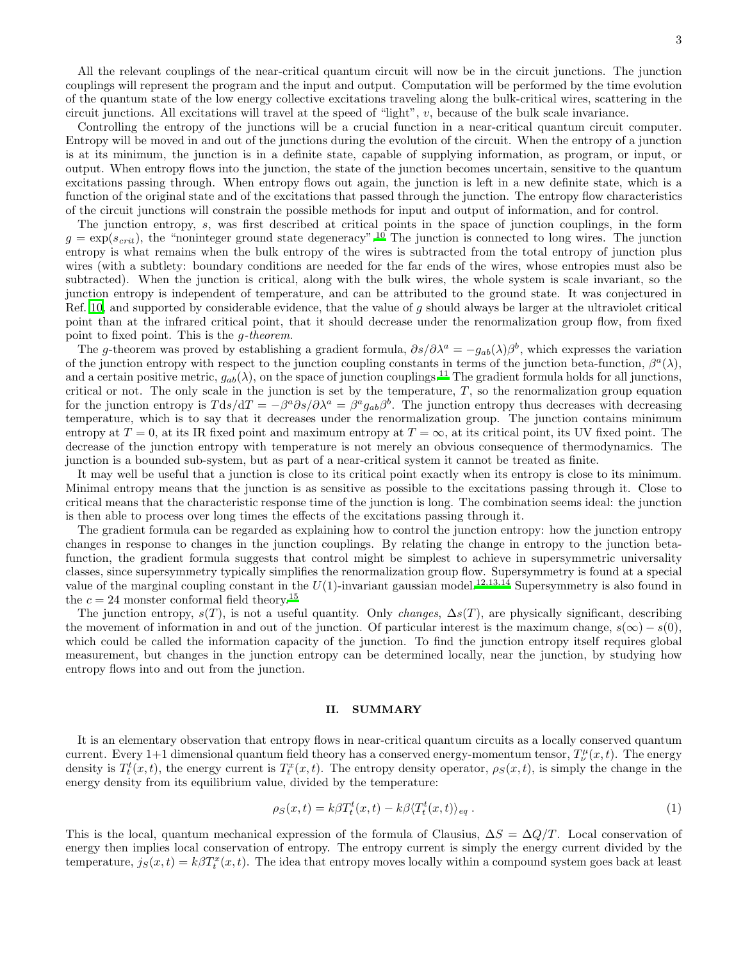All the relevant couplings of the near-critical quantum circuit will now be in the circuit junctions. The junction couplings will represent the program and the input and output. Computation will be performed by the time evolution of the quantum state of the low energy collective excitations traveling along the bulk-critical wires, scattering in the circuit junctions. All excitations will travel at the speed of "light", v, because of the bulk scale invariance.

Controlling the entropy of the junctions will be a crucial function in a near-critical quantum circuit computer. Entropy will be moved in and out of the junctions during the evolution of the circuit. When the entropy of a junction is at its minimum, the junction is in a definite state, capable of supplying information, as program, or input, or output. When entropy flows into the junction, the state of the junction becomes uncertain, sensitive to the quantum excitations passing through. When entropy flows out again, the junction is left in a new definite state, which is a function of the original state and of the excitations that passed through the junction. The entropy flow characteristics of the circuit junctions will constrain the possible methods for input and output of information, and for control.

The junction entropy, s, was first described at critical points in the space of junction couplings, in the form  $g = \exp(s_{crit})$ , the "noninteger ground state degeneracy".<sup>[10](#page-17-10)</sup> The junction is connected to long wires. The junction entropy is what remains when the bulk entropy of the wires is subtracted from the total entropy of junction plus wires (with a subtlety: boundary conditions are needed for the far ends of the wires, whose entropies must also be subtracted). When the junction is critical, along with the bulk wires, the whole system is scale invariant, so the junction entropy is independent of temperature, and can be attributed to the ground state. It was conjectured in Ref. [10,](#page-17-10) and supported by considerable evidence, that the value of  $g$  should always be larger at the ultraviolet critical point than at the infrared critical point, that it should decrease under the renormalization group flow, from fixed point to fixed point. This is the g-theorem.

The g-theorem was proved by establishing a gradient formula,  $\partial s/\partial \lambda^a = -g_{ab}(\lambda)\beta^b$ , which expresses the variation of the junction entropy with respect to the junction coupling constants in terms of the junction beta-function,  $\beta^a(\lambda)$ , and a certain positive metric,  $g_{ab}(\lambda)$ , on the space of junction couplings.<sup>[11](#page-17-11)</sup> The gradient formula holds for all junctions, critical or not. The only scale in the junction is set by the temperature,  $T$ , so the renormalization group equation for the junction entropy is  $T ds/dT = -\beta^a \partial s/\partial \lambda^a = \beta^a g_{ab}\beta^b$ . The junction entropy thus decreases with decreasing temperature, which is to say that it decreases under the renormalization group. The junction contains minimum entropy at  $T = 0$ , at its IR fixed point and maximum entropy at  $T = \infty$ , at its critical point, its UV fixed point. The decrease of the junction entropy with temperature is not merely an obvious consequence of thermodynamics. The junction is a bounded sub-system, but as part of a near-critical system it cannot be treated as finite.

It may well be useful that a junction is close to its critical point exactly when its entropy is close to its minimum. Minimal entropy means that the junction is as sensitive as possible to the excitations passing through it. Close to critical means that the characteristic response time of the junction is long. The combination seems ideal: the junction is then able to process over long times the effects of the excitations passing through it.

The gradient formula can be regarded as explaining how to control the junction entropy: how the junction entropy changes in response to changes in the junction couplings. By relating the change in entropy to the junction betafunction, the gradient formula suggests that control might be simplest to achieve in supersymmetric universality classes, since supersymmetry typically simplifies the renormalization group flow. Supersymmetry is found at a special value of the marginal coupling constant in the  $U(1)$ -invariant gaussian model.<sup>[12](#page-17-12)[,13](#page-17-13)[,14](#page-17-14)</sup> Supersymmetry is also found in the  $c = 24$  monster conformal field theory.<sup>[15](#page-17-15)</sup>

The junction entropy,  $s(T)$ , is not a useful quantity. Only *changes*,  $\Delta s(T)$ , are physically significant, describing the movement of information in and out of the junction. Of particular interest is the maximum change,  $s(\infty) - s(0)$ , which could be called the information capacity of the junction. To find the junction entropy itself requires global measurement, but changes in the junction entropy can be determined locally, near the junction, by studying how entropy flows into and out from the junction.

#### II. SUMMARY

It is an elementary observation that entropy flows in near-critical quantum circuits as a locally conserved quantum current. Every 1+1 dimensional quantum field theory has a conserved energy-momentum tensor,  $T^{\mu}_{\nu}(x,t)$ . The energy density is  $T_t^t(x,t)$ , the energy current is  $T_t^x(x,t)$ . The entropy density operator,  $\rho_S(x,t)$ , is simply the change in the energy density from its equilibrium value, divided by the temperature:

$$
\rho_S(x,t) = k\beta T_t^t(x,t) - k\beta \langle T_t^t(x,t) \rangle_{eq} . \tag{1}
$$

This is the local, quantum mechanical expression of the formula of Clausius,  $\Delta S = \Delta Q/T$ . Local conservation of energy then implies local conservation of entropy. The entropy current is simply the energy current divided by the temperature,  $j_S(x,t) = k\beta T_t^x(x,t)$ . The idea that entropy moves locally within a compound system goes back at least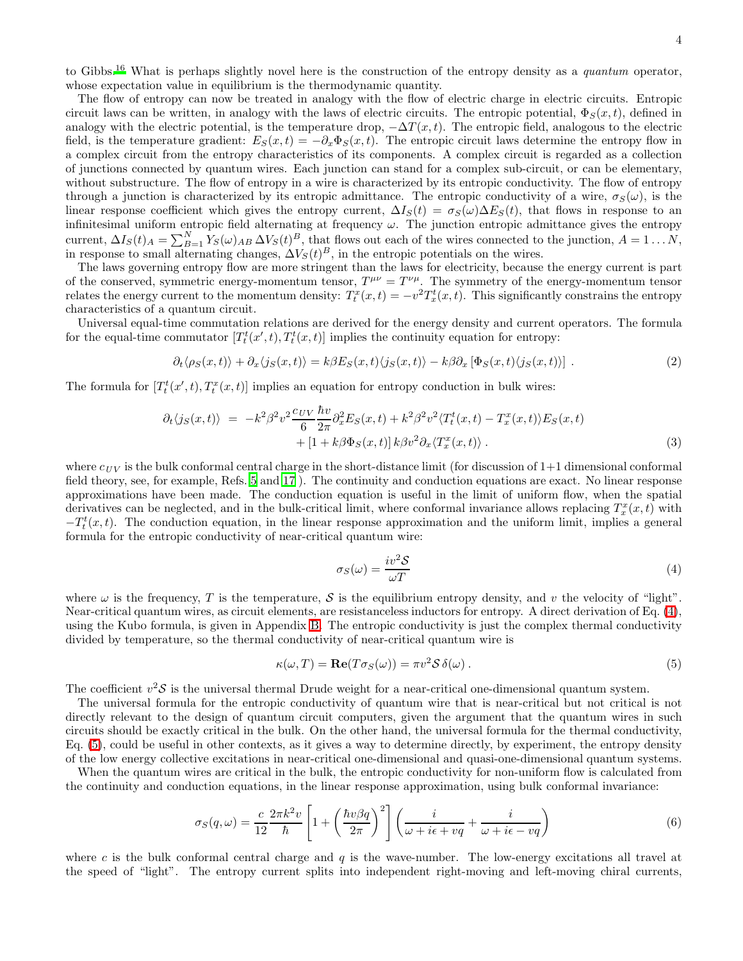to Gibbs.<sup>[16](#page-17-16)</sup> What is perhaps slightly novel here is the construction of the entropy density as a *quantum* operator, whose expectation value in equilibrium is the thermodynamic quantity.

The flow of entropy can now be treated in analogy with the flow of electric charge in electric circuits. Entropic circuit laws can be written, in analogy with the laws of electric circuits. The entropic potential,  $\Phi_S(x, t)$ , defined in analogy with the electric potential, is the temperature drop,  $-\Delta T(x,t)$ . The entropic field, analogous to the electric field, is the temperature gradient:  $E_S(x,t) = -\partial_x \Phi_S(x,t)$ . The entropic circuit laws determine the entropy flow in a complex circuit from the entropy characteristics of its components. A complex circuit is regarded as a collection of junctions connected by quantum wires. Each junction can stand for a complex sub-circuit, or can be elementary, without substructure. The flow of entropy in a wire is characterized by its entropic conductivity. The flow of entropy through a junction is characterized by its entropic admittance. The entropic conductivity of a wire,  $\sigma_S(\omega)$ , is the linear response coefficient which gives the entropy current,  $\Delta I_S(t) = \sigma_S(\omega) \Delta E_S(t)$ , that flows in response to an infinitesimal uniform entropic field alternating at frequency  $\omega$ . The junction entropic admittance gives the entropy current,  $\Delta I_S(t)_{A} = \sum_{B=1}^{N} Y_S(\omega)_{AB} \Delta V_S(t)^B$ , that flows out each of the wires connected to the junction,  $A = 1...N$ , in response to small alternating changes,  $\Delta V_S(t)^B$ , in the entropic potentials on the wires.

The laws governing entropy flow are more stringent than the laws for electricity, because the energy current is part of the conserved, symmetric energy-momentum tensor,  $T^{\mu\nu} = T^{\nu\mu}$ . The symmetry of the energy-momentum tensor relates the energy current to the momentum density:  $T_t^x(x,t) = -v^2 T_x^t(x,t)$ . This significantly constrains the entropy characteristics of a quantum circuit.

<span id="page-3-3"></span>Universal equal-time commutation relations are derived for the energy density and current operators. The formula for the equal-time commutator  $[T_t^t(x',t), T_t^t(x,t)]$  implies the continuity equation for entropy:

$$
\partial_t \langle \rho_S(x,t) \rangle + \partial_x \langle j_S(x,t) \rangle = k \beta E_S(x,t) \langle j_S(x,t) \rangle - k \beta \partial_x [\Phi_S(x,t) \langle j_S(x,t) \rangle]. \tag{2}
$$

<span id="page-3-4"></span>The formula for  $[T_t^t(x', t), T_t^x(x, t)]$  implies an equation for entropy conduction in bulk wires:

$$
\partial_t \langle j_S(x,t) \rangle = -k^2 \beta^2 v^2 \frac{c_{UV}}{6} \frac{\hbar v}{2\pi} \partial_x^2 E_S(x,t) + k^2 \beta^2 v^2 \langle T_t^t(x,t) - T_x^x(x,t) \rangle E_S(x,t) + [1 + k \beta \Phi_S(x,t)] k \beta v^2 \partial_x \langle T_x^x(x,t) \rangle .
$$
\n(3)

where  $c_{UV}$  is the bulk conformal central charge in the short-distance limit (for discussion of 1+1 dimensional conformal field theory, see, for example, Refs. [5](#page-17-5) and [17](#page-17-17) ). The continuity and conduction equations are exact. No linear response approximations have been made. The conduction equation is useful in the limit of uniform flow, when the spatial derivatives can be neglected, and in the bulk-critical limit, where conformal invariance allows replacing  $T_x^x(x,t)$  with  $-T_t^t(x,t)$ . The conduction equation, in the linear response approximation and the uniform limit, implies a general formula for the entropic conductivity of near-critical quantum wire:

<span id="page-3-0"></span>
$$
\sigma_S(\omega) = \frac{iv^2 S}{\omega T} \tag{4}
$$

where  $\omega$  is the frequency, T is the temperature, S is the equilibrium entropy density, and v the velocity of "light". Near-critical quantum wires, as circuit elements, are resistanceless inductors for entropy. A direct derivation of Eq. [\(4\)](#page-3-0), using the Kubo formula, is given in Appendix [B.](#page-15-0) The entropic conductivity is just the complex thermal conductivity divided by temperature, so the thermal conductivity of near-critical quantum wire is

<span id="page-3-1"></span>
$$
\kappa(\omega, T) = \mathbf{Re}(T\sigma_S(\omega)) = \pi v^2 \mathcal{S} \,\delta(\omega) \,. \tag{5}
$$

The coefficient  $v^2$ S is the universal thermal Drude weight for a near-critical one-dimensional quantum system.

The universal formula for the entropic conductivity of quantum wire that is near-critical but not critical is not directly relevant to the design of quantum circuit computers, given the argument that the quantum wires in such circuits should be exactly critical in the bulk. On the other hand, the universal formula for the thermal conductivity, Eq. [\(5\)](#page-3-1), could be useful in other contexts, as it gives a way to determine directly, by experiment, the entropy density of the low energy collective excitations in near-critical one-dimensional and quasi-one-dimensional quantum systems.

<span id="page-3-2"></span>When the quantum wires are critical in the bulk, the entropic conductivity for non-uniform flow is calculated from the continuity and conduction equations, in the linear response approximation, using bulk conformal invariance:

$$
\sigma_S(q,\omega) = \frac{c}{12} \frac{2\pi k^2 v}{\hbar} \left[ 1 + \left( \frac{\hbar v \beta q}{2\pi} \right)^2 \right] \left( \frac{i}{\omega + i\epsilon + vq} + \frac{i}{\omega + i\epsilon - vq} \right) \tag{6}
$$

where c is the bulk conformal central charge and q is the wave-number. The low-energy excitations all travel at the speed of "light". The entropy current splits into independent right-moving and left-moving chiral currents,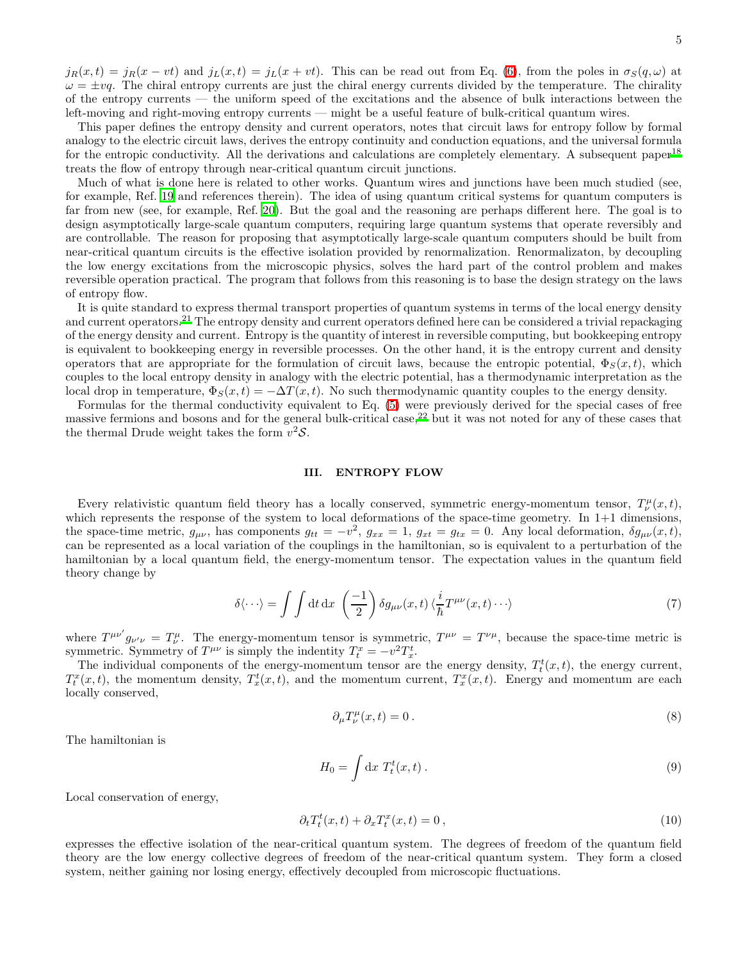left-moving and right-moving entropy currents — might be a useful feature of bulk-critical quantum wires. This paper defines the entropy density and current operators, notes that circuit laws for entropy follow by formal analogy to the electric circuit laws, derives the entropy continuity and conduction equations, and the universal formula for the entropic conductivity. All the derivations and calculations are completely elementary. A subsequent paper<sup>[18](#page-17-18)</sup> treats the flow of entropy through near-critical quantum circuit junctions.

of the entropy currents — the uniform speed of the excitations and the absence of bulk interactions between the

Much of what is done here is related to other works. Quantum wires and junctions have been much studied (see, for example, Ref. [19](#page-17-19) and references therein). The idea of using quantum critical systems for quantum computers is far from new (see, for example, Ref. [20\)](#page-17-20). But the goal and the reasoning are perhaps different here. The goal is to design asymptotically large-scale quantum computers, requiring large quantum systems that operate reversibly and are controllable. The reason for proposing that asymptotically large-scale quantum computers should be built from near-critical quantum circuits is the effective isolation provided by renormalization. Renormalizaton, by decoupling the low energy excitations from the microscopic physics, solves the hard part of the control problem and makes reversible operation practical. The program that follows from this reasoning is to base the design strategy on the laws of entropy flow.

It is quite standard to express thermal transport properties of quantum systems in terms of the local energy density and current operators.<sup>[21](#page-17-21)</sup> The entropy density and current operators defined here can be considered a trivial repackaging of the energy density and current. Entropy is the quantity of interest in reversible computing, but bookkeeping entropy is equivalent to bookkeeping energy in reversible processes. On the other hand, it is the entropy current and density operators that are appropriate for the formulation of circuit laws, because the entropic potential,  $\Phi_S(x, t)$ , which couples to the local entropy density in analogy with the electric potential, has a thermodynamic interpretation as the local drop in temperature,  $\Phi_S(x,t) = -\Delta T(x,t)$ . No such thermodynamic quantity couples to the energy density.

Formulas for the thermal conductivity equivalent to Eq. [\(5\)](#page-3-1) were previously derived for the special cases of free massive fermions and bosons and for the general bulk-critical case,[22](#page-17-22) but it was not noted for any of these cases that the thermal Drude weight takes the form  $v^2S$ .

#### III. ENTROPY FLOW

Every relativistic quantum field theory has a locally conserved, symmetric energy-momentum tensor,  $T^{\mu}_{\nu}(x,t)$ , which represents the response of the system to local deformations of the space-time geometry. In 1+1 dimensions, the space-time metric,  $g_{\mu\nu}$ , has components  $g_{tt} = -v^2$ ,  $g_{xx} = 1$ ,  $g_{xt} = g_{tx} = 0$ . Any local deformation,  $\delta g_{\mu\nu}(x, t)$ , can be represented as a local variation of the couplings in the hamiltonian, so is equivalent to a perturbation of the hamiltonian by a local quantum field, the energy-momentum tensor. The expectation values in the quantum field theory change by

$$
\delta \langle \cdots \rangle = \int \int dt \, dx \, \left( \frac{-1}{2} \right) \delta g_{\mu\nu}(x, t) \, \langle \frac{i}{\hbar} T^{\mu\nu}(x, t) \cdots \rangle \tag{7}
$$

where  $T^{\mu\nu'}g_{\nu'\nu} = T^{\mu}_{\nu}$ . The energy-momentum tensor is symmetric,  $T^{\mu\nu} = T^{\nu\mu}$ , because the space-time metric is symmetric. Symmetry of  $T^{\mu\nu}$  is simply the indentity  $T_t^x = -v^2 T_x^t$ .

The individual components of the energy-momentum tensor are the energy density,  $T_t^t(x,t)$ , the energy current,  $T_t^x(x,t)$ , the momentum density,  $T_x^t(x,t)$ , and the momentum current,  $T_x^x(x,t)$ . Energy and momentum are each locally conserved,

$$
\partial_{\mu}T^{\mu}_{\nu}(x,t) = 0.
$$
\n(8)

The hamiltonian is

$$
H_0 = \int \mathrm{d}x \; T_t^t(x, t) \; . \tag{9}
$$

Local conservation of energy,

$$
\partial_t T_t^t(x,t) + \partial_x T_t^x(x,t) = 0, \qquad (10)
$$

expresses the effective isolation of the near-critical quantum system. The degrees of freedom of the quantum field theory are the low energy collective degrees of freedom of the near-critical quantum system. They form a closed system, neither gaining nor losing energy, effectively decoupled from microscopic fluctuations.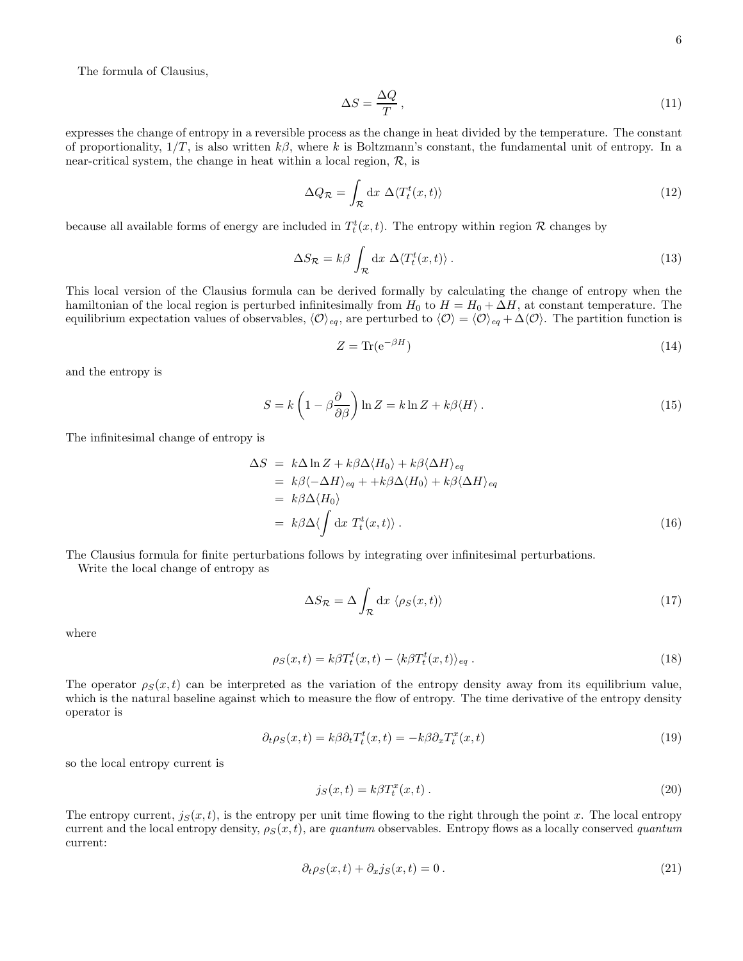The formula of Clausius,

$$
\Delta S = \frac{\Delta Q}{T},\tag{11}
$$

expresses the change of entropy in a reversible process as the change in heat divided by the temperature. The constant of proportionality,  $1/T$ , is also written  $k\beta$ , where k is Boltzmann's constant, the fundamental unit of entropy. In a near-critical system, the change in heat within a local region,  $\mathcal{R}$ , is

$$
\Delta Q_{\mathcal{R}} = \int_{\mathcal{R}} \mathrm{d}x \; \Delta \langle T_t^t(x, t) \rangle \tag{12}
$$

because all available forms of energy are included in  $T_t^t(x,t)$ . The entropy within region R changes by

$$
\Delta S_{\mathcal{R}} = k\beta \int_{\mathcal{R}} \mathrm{d}x \; \Delta \langle T_t^t(x, t) \rangle \,. \tag{13}
$$

This local version of the Clausius formula can be derived formally by calculating the change of entropy when the hamiltonian of the local region is perturbed infinitesimally from  $H_0$  to  $H = H_0 + \Delta H$ , at constant temperature. The equilibrium expectation values of observables,  $\langle \mathcal{O} \rangle_{eq}$ , are perturbed to  $\langle \mathcal{O} \rangle = \langle \mathcal{O} \rangle_{eq} + \Delta \langle \mathcal{O} \rangle$ . The partition function is

$$
Z = \text{Tr}(\mathbf{e}^{-\beta H})\tag{14}
$$

and the entropy is

$$
S = k \left( 1 - \beta \frac{\partial}{\partial \beta} \right) \ln Z = k \ln Z + k \beta \langle H \rangle. \tag{15}
$$

The infinitesimal change of entropy is

$$
\Delta S = k \Delta \ln Z + k \beta \Delta \langle H_0 \rangle + k \beta \langle \Delta H \rangle_{eq}
$$
  
=  $k \beta \langle -\Delta H \rangle_{eq} + + k \beta \Delta \langle H_0 \rangle + k \beta \langle \Delta H \rangle_{eq}$   
=  $k \beta \Delta \langle H_0 \rangle$   
=  $k \beta \Delta \langle \int dx \ T_t^t(x, t) \rangle$ . (16)

The Clausius formula for finite perturbations follows by integrating over infinitesimal perturbations.

Write the local change of entropy as

$$
\Delta S_{\mathcal{R}} = \Delta \int_{\mathcal{R}} \mathrm{d}x \, \langle \rho_S(x, t) \rangle \tag{17}
$$

where

$$
\rho_S(x,t) = k\beta T_t^t(x,t) - \langle k\beta T_t^t(x,t) \rangle_{eq} . \tag{18}
$$

The operator  $\rho_S(x,t)$  can be interpreted as the variation of the entropy density away from its equilibrium value, which is the natural baseline against which to measure the flow of entropy. The time derivative of the entropy density operator is

$$
\partial_t \rho_S(x,t) = k\beta \partial_t T_t^t(x,t) = -k\beta \partial_x T_t^x(x,t)
$$
\n(19)

so the local entropy current is

$$
j_S(x,t) = k\beta T_t^x(x,t) \,. \tag{20}
$$

The entropy current,  $j_S(x, t)$ , is the entropy per unit time flowing to the right through the point x. The local entropy current and the local entropy density,  $\rho_S(x, t)$ , are quantum observables. Entropy flows as a locally conserved quantum current:

$$
\partial_t \rho_S(x, t) + \partial_x j_S(x, t) = 0. \tag{21}
$$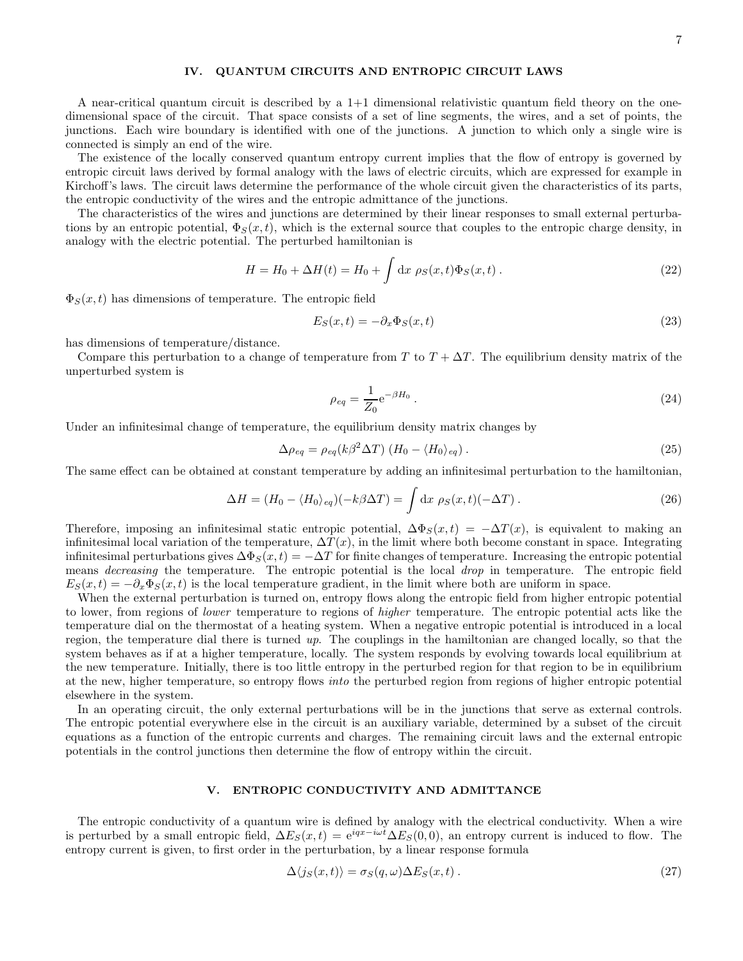## IV. QUANTUM CIRCUITS AND ENTROPIC CIRCUIT LAWS

A near-critical quantum circuit is described by a  $1+1$  dimensional relativistic quantum field theory on the onedimensional space of the circuit. That space consists of a set of line segments, the wires, and a set of points, the junctions. Each wire boundary is identified with one of the junctions. A junction to which only a single wire is connected is simply an end of the wire.

The existence of the locally conserved quantum entropy current implies that the flow of entropy is governed by entropic circuit laws derived by formal analogy with the laws of electric circuits, which are expressed for example in Kirchoff's laws. The circuit laws determine the performance of the whole circuit given the characteristics of its parts, the entropic conductivity of the wires and the entropic admittance of the junctions.

The characteristics of the wires and junctions are determined by their linear responses to small external perturbations by an entropic potential,  $\Phi_S(x,t)$ , which is the external source that couples to the entropic charge density, in analogy with the electric potential. The perturbed hamiltonian is

$$
H = H_0 + \Delta H(t) = H_0 + \int dx \ \rho_S(x, t) \Phi_S(x, t) \,. \tag{22}
$$

 $\Phi_S(x, t)$  has dimensions of temperature. The entropic field

$$
E_S(x,t) = -\partial_x \Phi_S(x,t) \tag{23}
$$

has dimensions of temperature/distance.

Compare this perturbation to a change of temperature from T to  $T + \Delta T$ . The equilibrium density matrix of the unperturbed system is

$$
\rho_{eq} = \frac{1}{Z_0} e^{-\beta H_0} \,. \tag{24}
$$

Under an infinitesimal change of temperature, the equilibrium density matrix changes by

$$
\Delta \rho_{eq} = \rho_{eq}(k\beta^2 \Delta T) \left( H_0 - \langle H_0 \rangle_{eq} \right). \tag{25}
$$

The same effect can be obtained at constant temperature by adding an infinitesimal perturbation to the hamiltonian,

$$
\Delta H = (H_0 - \langle H_0 \rangle_{eq})(-k\beta \Delta T) = \int \mathrm{d}x \, \rho_S(x, t)(-\Delta T) \,. \tag{26}
$$

Therefore, imposing an infinitesimal static entropic potential,  $\Delta \Phi_S(x,t) = -\Delta T(x)$ , is equivalent to making an infinitesimal local variation of the temperature,  $\Delta T(x)$ , in the limit where both become constant in space. Integrating infinitesimal perturbations gives  $\Delta \Phi_S(x,t) = -\Delta T$  for finite changes of temperature. Increasing the entropic potential means decreasing the temperature. The entropic potential is the local drop in temperature. The entropic field  $E_S(x,t) = -\partial_x \Phi_S(x,t)$  is the local temperature gradient, in the limit where both are uniform in space.

When the external perturbation is turned on, entropy flows along the entropic field from higher entropic potential to lower, from regions of lower temperature to regions of higher temperature. The entropic potential acts like the temperature dial on the thermostat of a heating system. When a negative entropic potential is introduced in a local region, the temperature dial there is turned  $up$ . The couplings in the hamiltonian are changed locally, so that the system behaves as if at a higher temperature, locally. The system responds by evolving towards local equilibrium at the new temperature. Initially, there is too little entropy in the perturbed region for that region to be in equilibrium at the new, higher temperature, so entropy flows into the perturbed region from regions of higher entropic potential elsewhere in the system.

In an operating circuit, the only external perturbations will be in the junctions that serve as external controls. The entropic potential everywhere else in the circuit is an auxiliary variable, determined by a subset of the circuit equations as a function of the entropic currents and charges. The remaining circuit laws and the external entropic potentials in the control junctions then determine the flow of entropy within the circuit.

#### V. ENTROPIC CONDUCTIVITY AND ADMITTANCE

The entropic conductivity of a quantum wire is defined by analogy with the electrical conductivity. When a wire is perturbed by a small entropic field,  $\Delta E_S(x,t) = e^{iqx-i\omega t} \Delta E_S(0,0)$ , an entropy current is induced to flow. The entropy current is given, to first order in the perturbation, by a linear response formula

$$
\Delta \langle j_S(x, t) \rangle = \sigma_S(q, \omega) \Delta E_S(x, t) \,. \tag{27}
$$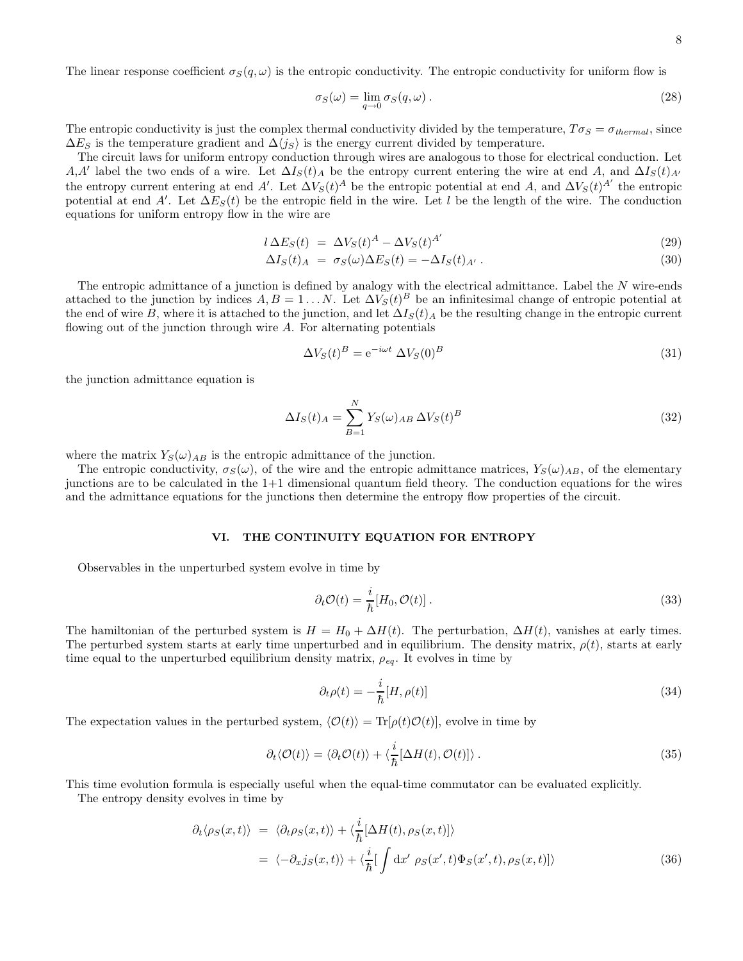The linear response coefficient  $\sigma_S(q,\omega)$  is the entropic conductivity. The entropic conductivity for uniform flow is

$$
\sigma_S(\omega) = \lim_{q \to 0} \sigma_S(q, \omega). \tag{28}
$$

The entropic conductivity is just the complex thermal conductivity divided by the temperature,  $T\sigma_S = \sigma_{thermal}$ , since  $\Delta E_S$  is the temperature gradient and  $\Delta\langle j_S \rangle$  is the energy current divided by temperature.

The circuit laws for uniform entropy conduction through wires are analogous to those for electrical conduction. Let A,A' label the two ends of a wire. Let  $\Delta I_S(t)$  be the entropy current entering the wire at end A, and  $\Delta I_S(t)$ A' the entropy current entering at end A'. Let  $\Delta V_S(t)^A$  be the entropic potential at end A, and  $\Delta V_S(t)^{A'}$  the entropic potential at end A'. Let  $\Delta E_S(t)$  be the entropic field in the wire. Let l be the length of the wire. The conduction equations for uniform entropy flow in the wire are

$$
l \Delta E_S(t) = \Delta V_S(t)^A - \Delta V_S(t)^{A'} \tag{29}
$$

$$
\Delta I_S(t)_A = \sigma_S(\omega) \Delta E_S(t) = -\Delta I_S(t)_{A'}.
$$
\n(30)

The entropic admittance of a junction is defined by analogy with the electrical admittance. Label the  $N$  wire-ends attached to the junction by indices  $A, B = 1...N$ . Let  $\Delta V_S(t)^B$  be an infinitesimal change of entropic potential at the end of wire B, where it is attached to the junction, and let  $\Delta I_S(t)_A$  be the resulting change in the entropic current flowing out of the junction through wire  $A$ . For alternating potentials

$$
\Delta V_S(t)^B = e^{-i\omega t} \Delta V_S(0)^B \tag{31}
$$

the junction admittance equation is

$$
\Delta I_S(t)_A = \sum_{B=1}^N Y_S(\omega)_{AB} \,\Delta V_S(t)^B \tag{32}
$$

where the matrix  $Y_S(\omega)_{AB}$  is the entropic admittance of the junction.

The entropic conductivity,  $\sigma_S(\omega)$ , of the wire and the entropic admittance matrices,  $Y_S(\omega)_{AB}$ , of the elementary junctions are to be calculated in the 1+1 dimensional quantum field theory. The conduction equations for the wires and the admittance equations for the junctions then determine the entropy flow properties of the circuit.

# VI. THE CONTINUITY EQUATION FOR ENTROPY

Observables in the unperturbed system evolve in time by

$$
\partial_t \mathcal{O}(t) = \frac{i}{\hbar} [H_0, \mathcal{O}(t)] \,. \tag{33}
$$

The hamiltonian of the perturbed system is  $H = H_0 + \Delta H(t)$ . The perturbation,  $\Delta H(t)$ , vanishes at early times. The perturbed system starts at early time unperturbed and in equilibrium. The density matrix,  $\rho(t)$ , starts at early time equal to the unperturbed equilibrium density matrix,  $\rho_{eq}$ . It evolves in time by

$$
\partial_t \rho(t) = -\frac{i}{\hbar} [H, \rho(t)] \tag{34}
$$

The expectation values in the perturbed system,  $\langle \mathcal{O}(t)\rangle = \text{Tr}[\rho(t)\mathcal{O}(t)]$ , evolve in time by

$$
\partial_t \langle \mathcal{O}(t) \rangle = \langle \partial_t \mathcal{O}(t) \rangle + \langle \frac{i}{\hbar} [\Delta H(t), \mathcal{O}(t)] \rangle \,. \tag{35}
$$

This time evolution formula is especially useful when the equal-time commutator can be evaluated explicitly.

The entropy density evolves in time by

<span id="page-7-0"></span>
$$
\partial_t \langle \rho_S(x,t) \rangle = \langle \partial_t \rho_S(x,t) \rangle + \langle \frac{i}{\hbar} [\Delta H(t), \rho_S(x,t)] \rangle \n= \langle -\partial_x j_S(x,t) \rangle + \langle \frac{i}{\hbar} [\int \mathrm{d}x' \; \rho_S(x',t) \Phi_S(x',t), \rho_S(x,t)] \rangle
$$
\n(36)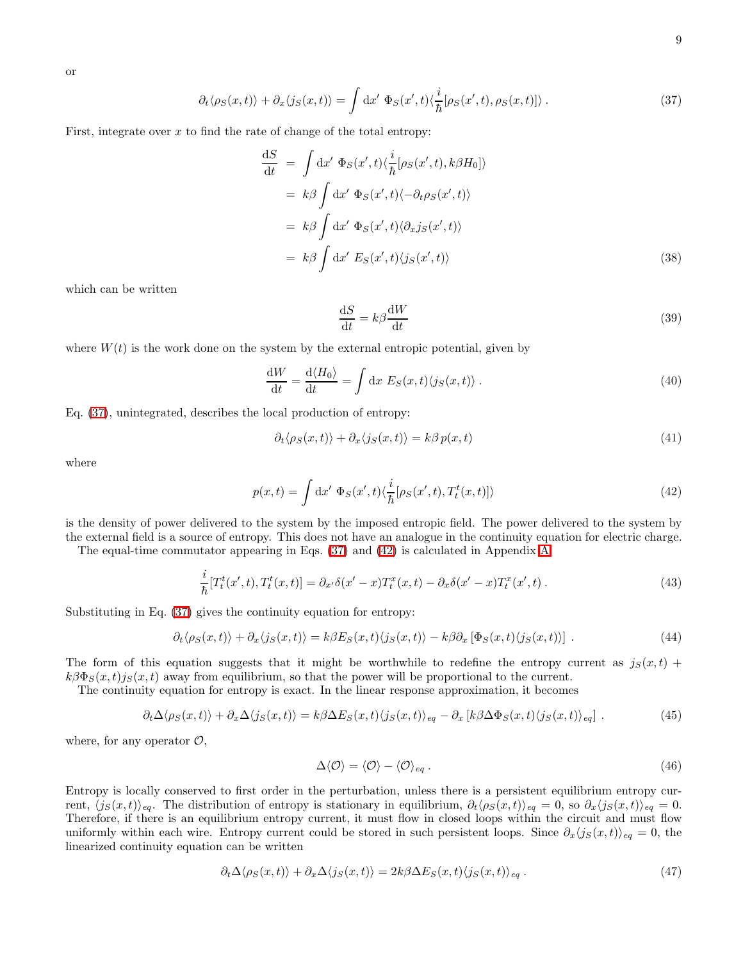<span id="page-8-0"></span>or

$$
\partial_t \langle \rho_S(x,t) \rangle + \partial_x \langle j_S(x,t) \rangle = \int \mathrm{d}x' \, \Phi_S(x',t) \langle \frac{i}{\hbar} [\rho_S(x',t), \rho_S(x,t)] \rangle \,. \tag{37}
$$

First, integrate over  $x$  to find the rate of change of the total entropy:

$$
\frac{dS}{dt} = \int dx' \Phi_S(x',t) \langle \frac{i}{\hbar} [\rho_S(x',t), k\beta H_0] \rangle
$$
  
\n
$$
= k\beta \int dx' \Phi_S(x',t) \langle -\partial_t \rho_S(x',t) \rangle
$$
  
\n
$$
= k\beta \int dx' \Phi_S(x',t) \langle \partial_x j_S(x',t) \rangle
$$
  
\n
$$
= k\beta \int dx' E_S(x',t) \langle j_S(x',t) \rangle
$$
(38)

which can be written

$$
\frac{\mathrm{d}S}{\mathrm{d}t} = k\beta \frac{\mathrm{d}W}{\mathrm{d}t} \tag{39}
$$

where  $W(t)$  is the work done on the system by the external entropic potential, given by

$$
\frac{\mathrm{d}W}{\mathrm{d}t} = \frac{\mathrm{d}\langle H_0 \rangle}{\mathrm{d}t} = \int \mathrm{d}x \ E_S(x, t) \langle j_S(x, t) \rangle \,. \tag{40}
$$

Eq. [\(37\)](#page-8-0), unintegrated, describes the local production of entropy:

$$
\partial_t \langle \rho_S(x, t) \rangle + \partial_x \langle j_S(x, t) \rangle = k \beta \, p(x, t) \tag{41}
$$

where

<span id="page-8-1"></span>
$$
p(x,t) = \int dx' \Phi_S(x',t) \langle \frac{i}{\hbar} [\rho_S(x',t), T_t^t(x,t)] \rangle
$$
\n(42)

is the density of power delivered to the system by the imposed entropic field. The power delivered to the system by the external field is a source of entropy. This does not have an analogue in the continuity equation for electric charge.

The equal-time commutator appearing in Eqs. [\(37\)](#page-8-0) and [\(42\)](#page-8-1) is calculated in Appendix [A:](#page-13-0)

$$
\frac{i}{\hbar}[T_t^t(x',t),T_t^t(x,t)] = \partial_{x'}\delta(x'-x)T_t^x(x,t) - \partial_x\delta(x'-x)T_t^x(x',t).
$$
\n(43)

Substituting in Eq. [\(37\)](#page-8-0) gives the continuity equation for entropy:

$$
\partial_t \langle \rho_S(x,t) \rangle + \partial_x \langle j_S(x,t) \rangle = k \beta E_S(x,t) \langle j_S(x,t) \rangle - k \beta \partial_x [\Phi_S(x,t) \langle j_S(x,t) \rangle]. \tag{44}
$$

The form of this equation suggests that it might be worthwhile to redefine the entropy current as  $j_S(x, t)$  +  $k\beta\Phi_S(x,t)j_S(x,t)$  away from equilibrium, so that the power will be proportional to the current.

The continuity equation for entropy is exact. In the linear response approximation, it becomes

$$
\partial_t \Delta \langle \rho_S(x, t) \rangle + \partial_x \Delta \langle j_S(x, t) \rangle = k \beta \Delta E_S(x, t) \langle j_S(x, t) \rangle_{eq} - \partial_x [k \beta \Delta \Phi_S(x, t) \langle j_S(x, t) \rangle_{eq}] \tag{45}
$$

where, for any operator  $\mathcal{O},$ 

$$
\Delta \langle \mathcal{O} \rangle = \langle \mathcal{O} \rangle - \langle \mathcal{O} \rangle_{eq} . \tag{46}
$$

Entropy is locally conserved to first order in the perturbation, unless there is a persistent equilibrium entropy current,  $\langle j_S(x, t) \rangle_{eq}$ . The distribution of entropy is stationary in equilibrium,  $\partial_t \langle \rho_S(x, t) \rangle_{eq} = 0$ , so  $\partial_x \langle j_S(x, t) \rangle_{eq} = 0$ . Therefore, if there is an equilibrium entropy current, it must flow in closed loops within the circuit and must flow uniformly within each wire. Entropy current could be stored in such persistent loops. Since  $\partial_x\langle j_S(x,t)\rangle_{eq} = 0$ , the linearized continuity equation can be written

<span id="page-8-2"></span>
$$
\partial_t \Delta \langle \rho_S(x, t) \rangle + \partial_x \Delta \langle j_S(x, t) \rangle = 2k\beta \Delta E_S(x, t) \langle j_S(x, t) \rangle_{eq} \,. \tag{47}
$$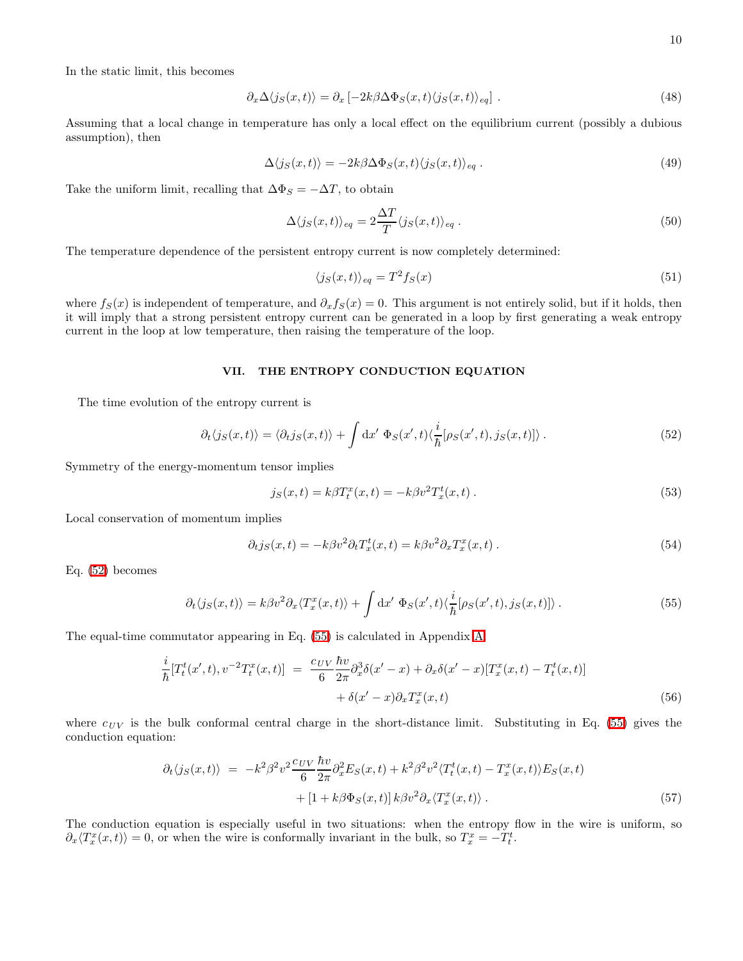In the static limit, this becomes

$$
\partial_x \Delta \langle j_S(x, t) \rangle = \partial_x \left[ -2k \beta \Delta \Phi_S(x, t) \langle j_S(x, t) \rangle_{eq} \right]. \tag{48}
$$

Assuming that a local change in temperature has only a local effect on the equilibrium current (possibly a dubious assumption), then

$$
\Delta \langle j_S(x,t) \rangle = -2k\beta \Delta \Phi_S(x,t) \langle j_S(x,t) \rangle_{eq} . \tag{49}
$$

Take the uniform limit, recalling that  $\Delta \Phi_S = -\Delta T$ , to obtain

$$
\Delta \langle j_S(x,t) \rangle_{eq} = 2 \frac{\Delta T}{T} \langle j_S(x,t) \rangle_{eq} . \tag{50}
$$

The temperature dependence of the persistent entropy current is now completely determined:

$$
\langle j_S(x,t) \rangle_{eq} = T^2 f_S(x) \tag{51}
$$

where  $f_S(x)$  is independent of temperature, and  $\partial_x f_S(x) = 0$ . This argument is not entirely solid, but if it holds, then it will imply that a strong persistent entropy current can be generated in a loop by first generating a weak entropy current in the loop at low temperature, then raising the temperature of the loop.

#### VII. THE ENTROPY CONDUCTION EQUATION

<span id="page-9-0"></span>The time evolution of the entropy current is

$$
\partial_t \langle j_S(x,t) \rangle = \langle \partial_t j_S(x,t) \rangle + \int dx' \, \Phi_S(x',t) \langle \frac{i}{\hbar} [\rho_S(x',t), j_S(x,t)] \rangle \,. \tag{52}
$$

Symmetry of the energy-momentum tensor implies

$$
j_S(x,t) = k\beta T_t^x(x,t) = -k\beta v^2 T_x^t(x,t).
$$
\n(53)

Local conservation of momentum implies

$$
\partial_t j_S(x,t) = -k\beta v^2 \partial_t T_x^t(x,t) = k\beta v^2 \partial_x T_x^x(x,t) \,. \tag{54}
$$

<span id="page-9-1"></span>Eq. [\(52\)](#page-9-0) becomes

$$
\partial_t \langle j_S(x,t) \rangle = k \beta v^2 \partial_x \langle T_x^x(x,t) \rangle + \int \mathrm{d}x' \ \Phi_S(x',t) \langle \frac{i}{\hbar} [\rho_S(x',t), j_S(x,t)] \rangle \,. \tag{55}
$$

The equal-time commutator appearing in Eq. [\(55\)](#page-9-1) is calculated in Appendix [A:](#page-13-0)

$$
\frac{i}{\hbar} [T_t^t(x',t), v^{-2} T_t^x(x,t)] = \frac{c_{UV}}{6} \frac{\hbar v}{2\pi} \partial_x^3 \delta(x'-x) + \partial_x \delta(x'-x) [T_x^x(x,t) - T_t^t(x,t)] \n+ \delta(x'-x) \partial_x T_x^x(x,t)
$$
\n(56)

<span id="page-9-2"></span>where  $c_{UV}$  is the bulk conformal central charge in the short-distance limit. Substituting in Eq. [\(55\)](#page-9-1) gives the conduction equation:

$$
\partial_t \langle j_S(x,t) \rangle = -k^2 \beta^2 v^2 \frac{c_{UV}}{6} \frac{\hbar v}{2\pi} \partial_x^2 E_S(x,t) + k^2 \beta^2 v^2 \langle T_t^t(x,t) - T_x^x(x,t) \rangle E_S(x,t)
$$
  
 
$$
+ [1 + k \beta \Phi_S(x,t)] k \beta v^2 \partial_x \langle T_x^x(x,t) \rangle . \tag{57}
$$

The conduction equation is especially useful in two situations: when the entropy flow in the wire is uniform, so  $\partial_x \langle T_x^x(x,t) \rangle = 0$ , or when the wire is conformally invariant in the bulk, so  $T_x^x = -T_t^t$ .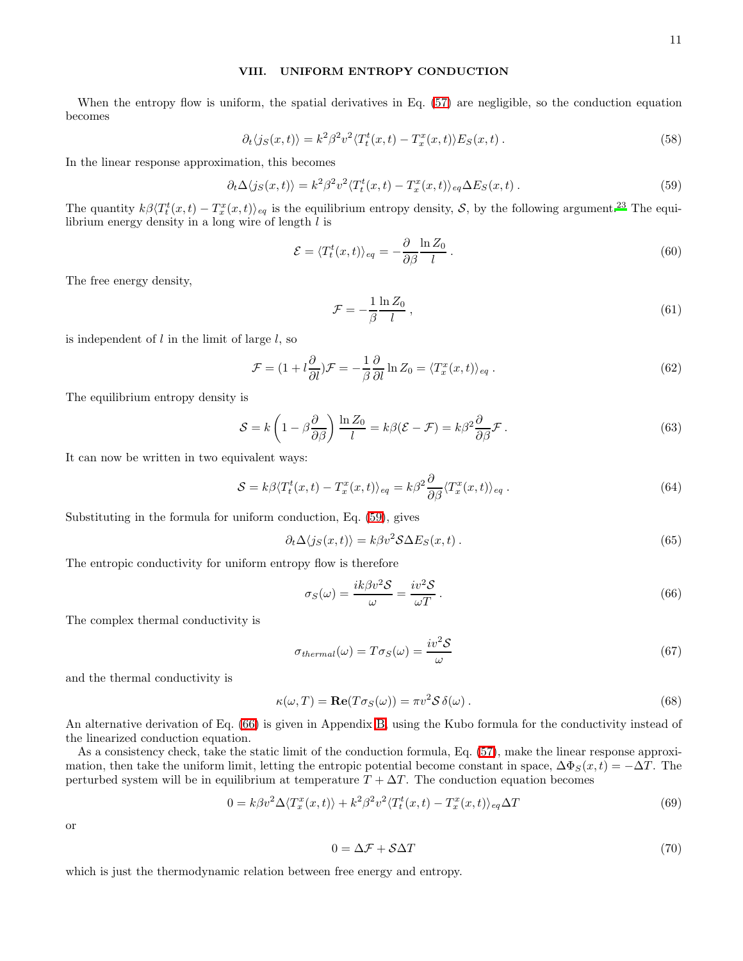#### VIII. UNIFORM ENTROPY CONDUCTION

When the entropy flow is uniform, the spatial derivatives in Eq.  $(57)$  are negligible, so the conduction equation becomes

$$
\partial_t \langle j_S(x,t) \rangle = k^2 \beta^2 v^2 \langle T_t^t(x,t) - T_x^x(x,t) \rangle E_S(x,t) \,. \tag{58}
$$

<span id="page-10-0"></span>In the linear response approximation, this becomes

$$
\partial_t \Delta \langle j_S(x, t) \rangle = k^2 \beta^2 v^2 \langle T_t^t(x, t) - T_x^x(x, t) \rangle_{eq} \Delta E_S(x, t) \,. \tag{59}
$$

The quantity  $k\beta\langle T_t^t(x,t) - T_x^x(x,t)\rangle_{eq}$  is the equilibrium entropy density, S, by the following argument.<sup>[23](#page-17-23)</sup> The equilibrium energy density in a long wire of length  $l$  is

$$
\mathcal{E} = \langle T_t^t(x, t) \rangle_{eq} = -\frac{\partial}{\partial \beta} \frac{\ln Z_0}{l} \,. \tag{60}
$$

The free energy density,

$$
\mathcal{F} = -\frac{1}{\beta} \frac{\ln Z_0}{l} \,,\tag{61}
$$

is independent of  $l$  in the limit of large  $l$ , so

$$
\mathcal{F} = (1 + l\frac{\partial}{\partial l})\mathcal{F} = -\frac{1}{\beta}\frac{\partial}{\partial l}\ln Z_0 = \langle T_x^x(x, t) \rangle_{eq}.
$$
\n(62)

The equilibrium entropy density is

$$
S = k \left( 1 - \beta \frac{\partial}{\partial \beta} \right) \frac{\ln Z_0}{l} = k \beta (\mathcal{E} - \mathcal{F}) = k \beta^2 \frac{\partial}{\partial \beta} \mathcal{F} . \tag{63}
$$

It can now be written in two equivalent ways:

<span id="page-10-2"></span>
$$
S = k\beta \langle T_t^t(x, t) - T_x^x(x, t) \rangle_{eq} = k\beta^2 \frac{\partial}{\partial \beta} \langle T_x^x(x, t) \rangle_{eq} . \tag{64}
$$

Substituting in the formula for uniform conduction, Eq. [\(59\)](#page-10-0), gives

<span id="page-10-1"></span>
$$
\partial_t \Delta \langle j_S(x, t) \rangle = k \beta v^2 \mathcal{S} \Delta E_S(x, t) \,. \tag{65}
$$

The entropic conductivity for uniform entropy flow is therefore

$$
\sigma_S(\omega) = \frac{ik\beta v^2 S}{\omega} = \frac{iv^2 S}{\omega T} \,. \tag{66}
$$

The complex thermal conductivity is

$$
\sigma_{thermal}(\omega) = T\sigma_S(\omega) = \frac{iv^2 \mathcal{S}}{\omega} \tag{67}
$$

and the thermal conductivity is

$$
\kappa(\omega, T) = \mathbf{Re}(T\sigma_S(\omega)) = \pi v^2 \mathcal{S} \,\delta(\omega) \,. \tag{68}
$$

An alternative derivation of Eq. [\(66\)](#page-10-1) is given in Appendix [B,](#page-15-0) using the Kubo formula for the conductivity instead of the linearized conduction equation.

As a consistency check, take the static limit of the conduction formula, Eq. [\(57\)](#page-9-2), make the linear response approximation, then take the uniform limit, letting the entropic potential become constant in space,  $\Delta \Phi_S(x,t) = -\Delta T$ . The perturbed system will be in equilibrium at temperature  $T + \Delta T$ . The conduction equation becomes

$$
0 = k\beta v^2 \Delta \langle T_x^x(x, t) \rangle + k^2 \beta^2 v^2 \langle T_t^t(x, t) - T_x^x(x, t) \rangle_{eq} \Delta T
$$
\n(69)

or

$$
0 = \Delta \mathcal{F} + \mathcal{S} \Delta T \tag{70}
$$

which is just the thermodynamic relation between free energy and entropy.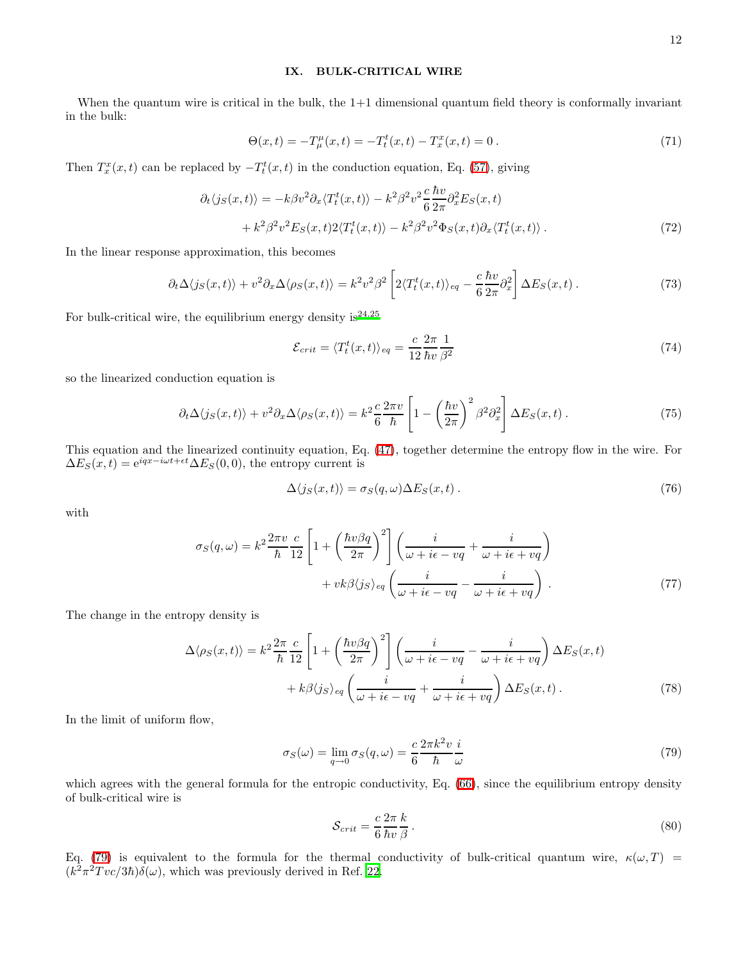#### IX. BULK-CRITICAL WIRE

When the quantum wire is critical in the bulk, the  $1+1$  dimensional quantum field theory is conformally invariant in the bulk:

$$
\Theta(x,t) = -T^{\mu}_{\mu}(x,t) = -T^t_{t}(x,t) - T^x_{x}(x,t) = 0.
$$
\n(71)

Then  $T_x^x(x,t)$  can be replaced by  $-T_t^t(x,t)$  in the conduction equation, Eq. [\(57\)](#page-9-2), giving

$$
\partial_t \langle j_S(x,t) \rangle = -k \beta v^2 \partial_x \langle T_t^t(x,t) \rangle - k^2 \beta^2 v^2 \frac{c}{6} \frac{\hbar v}{2\pi} \partial_x^2 E_S(x,t) + k^2 \beta^2 v^2 E_S(x,t) 2 \langle T_t^t(x,t) \rangle - k^2 \beta^2 v^2 \Phi_S(x,t) \partial_x \langle T_t^t(x,t) \rangle.
$$
\n(72)

In the linear response approximation, this becomes

$$
\partial_t \Delta \langle j_S(x,t) \rangle + v^2 \partial_x \Delta \langle \rho_S(x,t) \rangle = k^2 v^2 \beta^2 \left[ 2 \langle T_t^t(x,t) \rangle_{eq} - \frac{c}{6} \frac{\hbar v}{2\pi} \partial_x^2 \right] \Delta E_S(x,t) \,. \tag{73}
$$

For bulk-critical wire, the equilibrium energy density is  $24.25$  $24.25$ 

$$
\mathcal{E}_{crit} = \langle T_t^t(x, t) \rangle_{eq} = \frac{c}{12} \frac{2\pi}{\hbar v} \frac{1}{\beta^2}
$$
\n(74)

so the linearized conduction equation is

$$
\partial_t \Delta \langle j_S(x, t) \rangle + v^2 \partial_x \Delta \langle \rho_S(x, t) \rangle = k^2 \frac{c}{6} \frac{2\pi v}{\hbar} \left[ 1 - \left( \frac{\hbar v}{2\pi} \right)^2 \beta^2 \partial_x^2 \right] \Delta E_S(x, t) \,. \tag{75}
$$

This equation and the linearized continuity equation, Eq. [\(47\)](#page-8-2), together determine the entropy flow in the wire. For  $\Delta E_S(x,t) = e^{iqx-i\omega t + \epsilon t} \Delta E_S(0,0)$ , the entropy current is

$$
\Delta\langle j_S(x,t)\rangle = \sigma_S(q,\omega)\Delta E_S(x,t) \,. \tag{76}
$$

with

$$
\sigma_S(q,\omega) = k^2 \frac{2\pi v}{\hbar} \frac{c}{12} \left[ 1 + \left( \frac{\hbar v \beta q}{2\pi} \right)^2 \right] \left( \frac{i}{\omega + i\epsilon - vq} + \frac{i}{\omega + i\epsilon + vq} \right) + v k \beta \langle j_S \rangle_{eq} \left( \frac{i}{\omega + i\epsilon - vq} - \frac{i}{\omega + i\epsilon + vq} \right) \tag{77}
$$

<span id="page-11-1"></span>The change in the entropy density is

$$
\Delta \langle \rho_S(x,t) \rangle = k^2 \frac{2\pi}{\hbar} \frac{c}{12} \left[ 1 + \left( \frac{\hbar v \beta q}{2\pi} \right)^2 \right] \left( \frac{i}{\omega + i\epsilon - vq} - \frac{i}{\omega + i\epsilon + vq} \right) \Delta E_S(x,t) + k\beta \langle j_S \rangle_{eq} \left( \frac{i}{\omega + i\epsilon - vq} + \frac{i}{\omega + i\epsilon + vq} \right) \Delta E_S(x,t).
$$
 (78)

In the limit of uniform flow,

<span id="page-11-2"></span><span id="page-11-0"></span>
$$
\sigma_S(\omega) = \lim_{q \to 0} \sigma_S(q, \omega) = \frac{c}{6} \frac{2\pi k^2 v}{\hbar} \frac{i}{\omega}
$$
\n(79)

which agrees with the general formula for the entropic conductivity, Eq. [\(66\)](#page-10-1), since the equilibrium entropy density of bulk-critical wire is

$$
S_{crit} = \frac{c}{6} \frac{2\pi}{\hbar v} \frac{k}{\beta} \,. \tag{80}
$$

Eq. [\(79\)](#page-11-0) is equivalent to the formula for the thermal conductivity of bulk-critical quantum wire,  $\kappa(\omega, T)$  =  $(k^2 \pi^2 T v c/3\hbar) \delta(\omega)$ , which was previously derived in Ref. [22.](#page-17-22)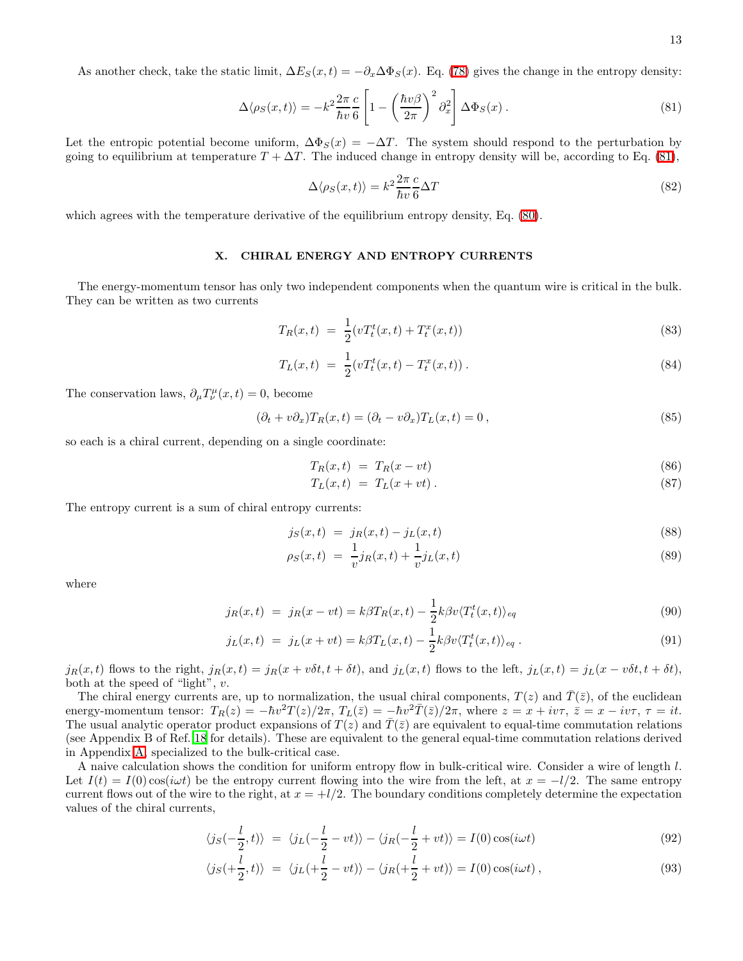<span id="page-12-0"></span>As another check, take the static limit,  $\Delta E_S(x,t) = -\partial_x \Delta \Phi_S(x)$ . Eq. [\(78\)](#page-11-1) gives the change in the entropy density:

$$
\Delta \langle \rho_S(x,t) \rangle = -k^2 \frac{2\pi}{\hbar v} \frac{c}{6} \left[ 1 - \left( \frac{\hbar v \beta}{2\pi} \right)^2 \partial_x^2 \right] \Delta \Phi_S(x) . \tag{81}
$$

Let the entropic potential become uniform,  $\Delta \Phi_S(x) = -\Delta T$ . The system should respond to the perturbation by going to equilibrium at temperature  $T + \Delta T$ . The induced change in entropy density will be, according to Eq. [\(81\)](#page-12-0),

$$
\Delta \langle \rho_S(x, t) \rangle = k^2 \frac{2\pi}{\hbar v} \frac{c}{6} \Delta T \tag{82}
$$

which agrees with the temperature derivative of the equilibrium entropy density, Eq. [\(80\)](#page-11-2).

## X. CHIRAL ENERGY AND ENTROPY CURRENTS

The energy-momentum tensor has only two independent components when the quantum wire is critical in the bulk. They can be written as two currents

$$
T_R(x,t) = \frac{1}{2}(vT_t^t(x,t) + T_t^x(x,t))
$$
\n(83)

$$
T_L(x,t) = \frac{1}{2}(vT_t^t(x,t) - T_t^x(x,t)).
$$
\n(84)

The conservation laws,  $\partial_{\mu}T^{\mu}_{\nu}(x,t) = 0$ , become

$$
(\partial_t + v \partial_x) T_R(x, t) = (\partial_t - v \partial_x) T_L(x, t) = 0,
$$
\n(85)

so each is a chiral current, depending on a single coordinate:

$$
T_R(x,t) = T_R(x - vt) \tag{86}
$$

$$
T_L(x,t) = T_L(x+vt). \tag{87}
$$

The entropy current is a sum of chiral entropy currents:

$$
j_S(x,t) = j_R(x,t) - j_L(x,t)
$$
\n(88)

$$
\rho_S(x,t) = \frac{1}{v} j_R(x,t) + \frac{1}{v} j_L(x,t) \tag{89}
$$

where

$$
j_R(x,t) = j_R(x - vt) = k\beta T_R(x,t) - \frac{1}{2}k\beta v \langle T_t^t(x,t) \rangle_{eq} \tag{90}
$$

$$
j_L(x,t) = j_L(x+vt) = k\beta T_L(x,t) - \frac{1}{2}k\beta v \langle T_t^t(x,t) \rangle_{eq}.
$$
\n(91)

 $j_R(x,t)$  flows to the right,  $j_R(x,t) = j_R(x + v\delta t, t + \delta t)$ , and  $j_L(x,t)$  flows to the left,  $j_L(x,t) = j_L(x - v\delta t, t + \delta t)$ , both at the speed of "light", v.

The chiral energy currents are, up to normalization, the usual chiral components,  $T(z)$  and  $\overline{T}(\overline{z})$ , of the euclidean energy-momentum tensor:  $T_R(z) = -\hbar v^2 T(z)/2\pi$ ,  $T_L(\bar{z}) = -\hbar v^2 \bar{T}(\bar{z})/2\pi$ , where  $z = x + iv\tau$ ,  $\bar{z} = x - iv\tau$ ,  $\tau = it$ . The usual analytic operator product expansions of  $T(z)$  and  $\overline{T}(\overline{z})$  are equivalent to equal-time commutation relations (see Appendix B of Ref. [18](#page-17-18) for details). These are equivalent to the general equal-time commutation relations derived in Appendix [A,](#page-13-0) specialized to the bulk-critical case.

A naive calculation shows the condition for uniform entropy flow in bulk-critical wire. Consider a wire of length l. Let  $I(t) = I(0) \cos(i\omega t)$  be the entropy current flowing into the wire from the left, at  $x = -l/2$ . The same entropy current flows out of the wire to the right, at  $x = +l/2$ . The boundary conditions completely determine the expectation values of the chiral currents,

$$
\langle j_S(-\frac{l}{2},t)\rangle = \langle j_L(-\frac{l}{2}-vt)\rangle - \langle j_R(-\frac{l}{2}+vt)\rangle = I(0)\cos(i\omega t)
$$
\n(92)

$$
\langle j_S(+\frac{l}{2},t)\rangle = \langle j_L(+\frac{l}{2}-vt)\rangle - \langle j_R(+\frac{l}{2}+vt)\rangle = I(0)\cos(i\omega t),\tag{93}
$$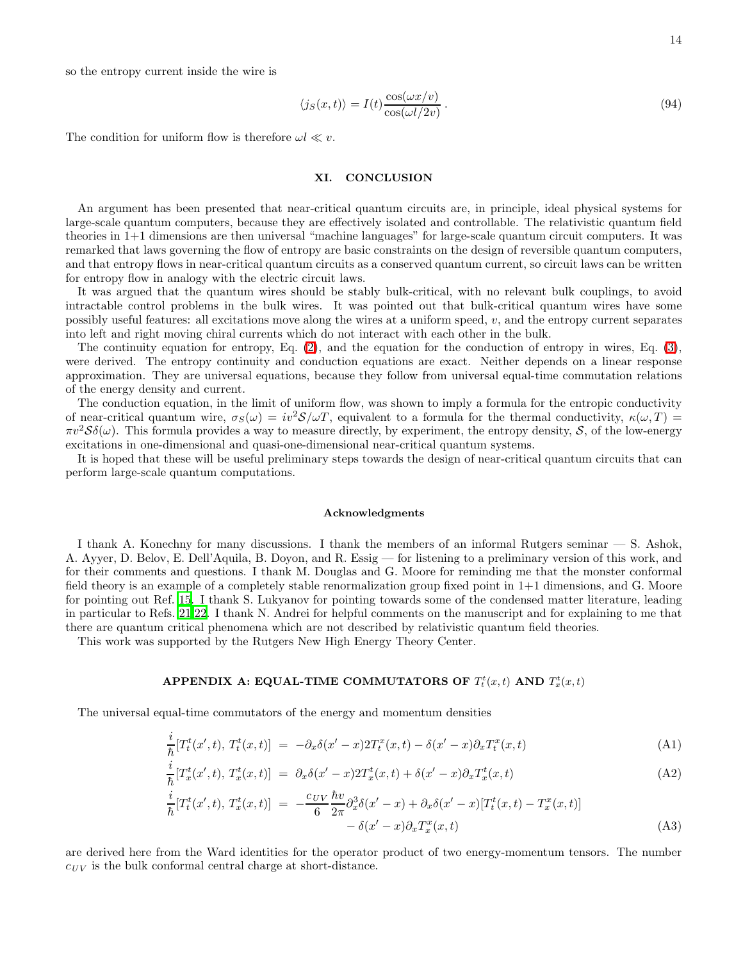so the entropy current inside the wire is

$$
\langle j_S(x,t) \rangle = I(t) \frac{\cos(\omega x/v)}{\cos(\omega l/2v)}.
$$
\n(94)

The condition for uniform flow is therefore  $\omega l \ll v$ .

## XI. CONCLUSION

An argument has been presented that near-critical quantum circuits are, in principle, ideal physical systems for large-scale quantum computers, because they are effectively isolated and controllable. The relativistic quantum field theories in 1+1 dimensions are then universal "machine languages" for large-scale quantum circuit computers. It was remarked that laws governing the flow of entropy are basic constraints on the design of reversible quantum computers, and that entropy flows in near-critical quantum circuits as a conserved quantum current, so circuit laws can be written for entropy flow in analogy with the electric circuit laws.

It was argued that the quantum wires should be stably bulk-critical, with no relevant bulk couplings, to avoid intractable control problems in the bulk wires. It was pointed out that bulk-critical quantum wires have some possibly useful features: all excitations move along the wires at a uniform speed,  $v$ , and the entropy current separates into left and right moving chiral currents which do not interact with each other in the bulk.

The continuity equation for entropy, Eq. [\(2\)](#page-3-3), and the equation for the conduction of entropy in wires, Eq. [\(3\)](#page-3-4), were derived. The entropy continuity and conduction equations are exact. Neither depends on a linear response approximation. They are universal equations, because they follow from universal equal-time commutation relations of the energy density and current.

The conduction equation, in the limit of uniform flow, was shown to imply a formula for the entropic conductivity of near-critical quantum wire,  $\sigma_S(\omega) = iv^2S/\omega T$ , equivalent to a formula for the thermal conductivity,  $\kappa(\omega, T) =$  $\pi v^2 S \delta(\omega)$ . This formula provides a way to measure directly, by experiment, the entropy density, S, of the low-energy excitations in one-dimensional and quasi-one-dimensional near-critical quantum systems.

It is hoped that these will be useful preliminary steps towards the design of near-critical quantum circuits that can perform large-scale quantum computations.

#### Acknowledgments

I thank A. Konechny for many discussions. I thank the members of an informal Rutgers seminar — S. Ashok, A. Ayyer, D. Belov, E. Dell'Aquila, B. Doyon, and R. Essig — for listening to a preliminary version of this work, and for their comments and questions. I thank M. Douglas and G. Moore for reminding me that the monster conformal field theory is an example of a completely stable renormalization group fixed point in 1+1 dimensions, and G. Moore for pointing out Ref. [15.](#page-17-15) I thank S. Lukyanov for pointing towards some of the condensed matter literature, leading in particular to Refs. [21](#page-17-21)[,22](#page-17-22). I thank N. Andrei for helpful comments on the manuscript and for explaining to me that there are quantum critical phenomena which are not described by relativistic quantum field theories.

<span id="page-13-0"></span>This work was supported by the Rutgers New High Energy Theory Center.

# APPENDIX A: EQUAL-TIME COMMUTATORS OF  $T_t^t(x,t)$  AND  $T_x^t(x,t)$

<span id="page-13-1"></span>The universal equal-time commutators of the energy and momentum densities

$$
\frac{i}{\hbar}[T_t^t(x',t), T_t^t(x,t)] = -\partial_x \delta(x'-x)2T_t^x(x,t) - \delta(x'-x)\partial_x T_t^x(x,t)
$$
\n(A1)

$$
\frac{i}{\hbar}[T_x^t(x',t), T_x^t(x,t)] = \partial_x \delta(x'-x) 2T_x^t(x,t) + \delta(x'-x)\partial_x T_x^t(x,t)
$$
\n(A2)

$$
\frac{i}{\hbar}[T_t^t(x',t), T_x^t(x,t)] = -\frac{c_{UV}}{6} \frac{\hbar v}{2\pi} \partial_x^3 \delta(x'-x) + \partial_x \delta(x'-x) [T_t^t(x,t) - T_x^x(x,t)] \n- \delta(x'-x) \partial_x T_x^x(x,t)
$$
\n(A3)

are derived here from the Ward identities for the operator product of two energy-momentum tensors. The number  $c_{UV}$  is the bulk conformal central charge at short-distance.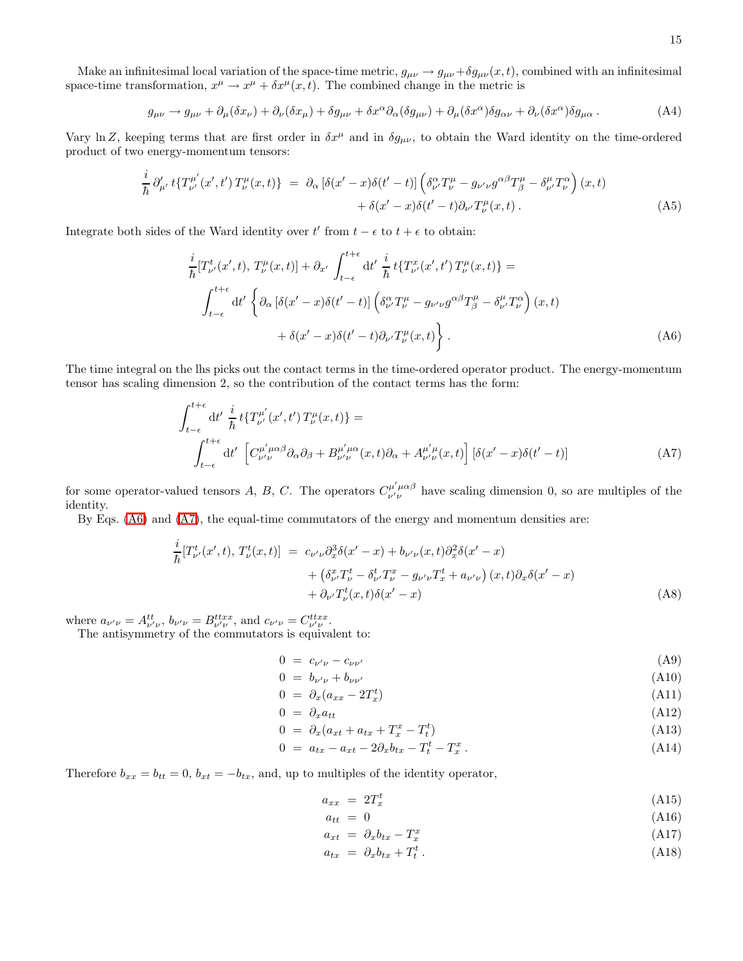Make an infinitesimal local variation of the space-time metric,  $g_{\mu\nu} \to g_{\mu\nu} + \delta g_{\mu\nu}(x, t)$ , combined with an infinitesimal space-time transformation,  $x^{\mu} \to x^{\mu} + \delta x^{\mu}(x, t)$ . The combined change in the metric is

$$
g_{\mu\nu} \to g_{\mu\nu} + \partial_{\mu}(\delta x_{\nu}) + \partial_{\nu}(\delta x_{\mu}) + \delta g_{\mu\nu} + \delta x^{\alpha} \partial_{\alpha}(\delta g_{\mu\nu}) + \partial_{\mu}(\delta x^{\alpha}) \delta g_{\alpha\nu} + \partial_{\nu}(\delta x^{\alpha}) \delta g_{\mu\alpha} \,. \tag{A4}
$$

Vary ln Z, keeping terms that are first order in  $\delta x^{\mu}$  and in  $\delta g_{\mu\nu}$ , to obtain the Ward identity on the time-ordered product of two energy-momentum tensors:

$$
\frac{i}{\hbar} \partial'_{\mu'} t \{T^{\mu'}_{\nu'}(x',t') T^{\mu}_{\nu}(x,t)\} = \partial_{\alpha} \left[ \delta(x'-x) \delta(t'-t) \right] \left( \delta^{\alpha}_{\nu'} T^{\mu}_{\nu} - g_{\nu'\nu} g^{\alpha\beta} T^{\mu}_{\beta} - \delta^{\mu}_{\nu'} T^{\alpha}_{\nu} \right)(x,t) \n+ \delta(x'-x) \delta(t'-t) \partial_{\nu'} T^{\mu}_{\nu}(x,t).
$$
\n(A5)

<span id="page-14-0"></span>Integrate both sides of the Ward identity over  $t'$  from  $t - \epsilon$  to  $t + \epsilon$  to obtain:

$$
\frac{i}{\hbar} [T^t_{\nu'}(x',t), T^{\mu}_{\nu}(x,t)] + \partial_{x'} \int_{t-\epsilon}^{t+\epsilon} dt' \frac{i}{\hbar} t \{T^x_{\nu'}(x',t') T^{\mu}_{\nu}(x,t)\} =
$$
\n
$$
\int_{t-\epsilon}^{t+\epsilon} dt' \left\{ \partial_{\alpha} \left[ \delta(x'-x)\delta(t'-t) \right] \left( \delta^{\alpha}_{\nu'} T^{\mu}_{\nu} - g_{\nu'\nu} g^{\alpha\beta} T^{\mu}_{\beta} - \delta^{\mu}_{\nu'} T^{\alpha}_{\nu} \right) (x,t) + \delta(x'-x)\delta(t'-t) \partial_{\nu'} T^{\mu}_{\nu}(x,t) \right\}.
$$
\n(A6)

<span id="page-14-1"></span>The time integral on the lhs picks out the contact terms in the time-ordered operator product. The energy-momentum tensor has scaling dimension 2, so the contribution of the contact terms has the form:

$$
\int_{t-\epsilon}^{t+\epsilon} dt' \frac{i}{\hbar} t \{T^{\mu'}_{\nu'}(x',t') T^{\mu}_{\nu}(x,t)\} =
$$
\n
$$
\int_{t-\epsilon}^{t+\epsilon} dt' \left[ C^{\mu'\mu\alpha\beta}_{\nu'\nu} \partial_{\alpha}\partial_{\beta} + B^{\mu'\mu\alpha}_{\nu'\nu}(x,t) \partial_{\alpha} + A^{\mu'\mu}_{\nu'\nu}(x,t) \right] \left[ \delta(x'-x)\delta(t'-t) \right]
$$
\n(A7)

for some operator-valued tensors A, B, C. The operators  $C^{\mu'\mu\alpha\beta}_{\nu'\nu}$  have scaling dimension 0, so are multiples of the identity.

By Eqs. [\(A6\)](#page-14-0) and [\(A7\)](#page-14-1), the equal-time commutators of the energy and momentum densities are:

$$
\frac{i}{\hbar}[T^t_{\nu'}(x',t), T^t_{\nu}(x,t)] = c_{\nu'\nu}\partial_x^3 \delta(x'-x) + b_{\nu'\nu}(x,t)\partial_x^2 \delta(x'-x) \n+ \left(\delta^x_{\nu'}T^t_{\nu} - \delta^t_{\nu'}T^x_{\nu} - g_{\nu'\nu}T^t_x + a_{\nu'\nu}\right)(x,t)\partial_x \delta(x'-x) \n+ \partial_{\nu'}T^t_{\nu}(x,t)\delta(x'-x)
$$
\n(A8)

where  $a_{\nu'\nu} = A^{tt}_{\nu'\nu}, b_{\nu'\nu} = B^{ttxx}_{\nu'\nu}$ , and  $c_{\nu'\nu} = C^{ttxx}_{\nu'\nu}$ .

The antisymmetry of the commutators is equivalent to:

$$
0 = c_{\nu'\nu} - c_{\nu\nu'} \tag{A9}
$$

$$
0 = b_{\nu'\nu} + b_{\nu\nu'} \tag{A10}
$$

$$
0 = \partial_x (a_{xx} - 2T_x^t) \tag{A11}
$$

$$
0 = \partial_x a_{tt} \tag{A12}
$$

$$
0 = \partial_x (a_{xt} + a_{tx} + T_x^x - T_t^t) \tag{A13}
$$

$$
0 = a_{tx} - a_{xt} - 2\partial_x b_{tx} - T_t^t - T_x^x. \tag{A14}
$$

Therefore  $b_{xx} = b_{tt} = 0$ ,  $b_{xt} = -b_{tx}$ , and, up to multiples of the identity operator,

$$
a_{xx} = 2T_x^t \tag{A15}
$$

$$
a_{tt} = 0 \tag{A16}
$$

$$
a_{xt} = \partial_x b_{tx} - T_x^x \tag{A17}
$$

$$
a_{tx} = \partial_x b_{tx} + T_t^t \,. \tag{A18}
$$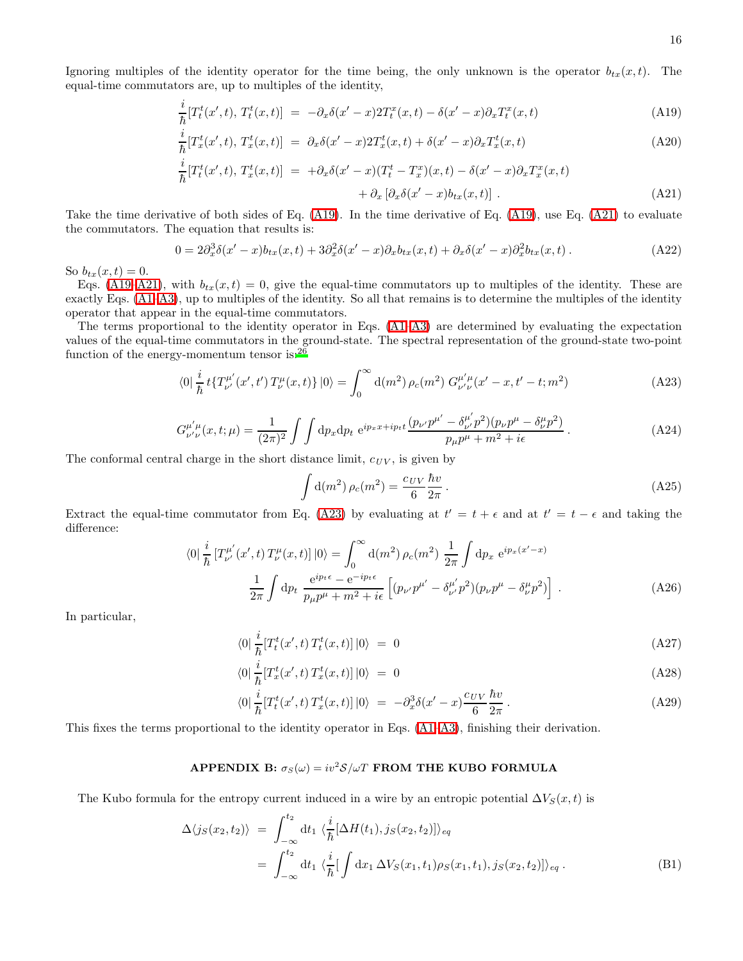<span id="page-15-1"></span>Ignoring multiples of the identity operator for the time being, the only unknown is the operator  $b_{tx}(x, t)$ . The equal-time commutators are, up to multiples of the identity,

$$
\frac{i}{\hbar} [T_t^t(x',t), T_t^t(x,t)] = -\partial_x \delta(x'-x) 2T_t^x(x,t) - \delta(x'-x)\partial_x T_t^x(x,t)
$$
\n(A19)

$$
\frac{i}{\hbar}[T_x^t(x',t), T_x^t(x,t)] = \partial_x \delta(x'-x) 2T_x^t(x,t) + \delta(x'-x) \partial_x T_x^t(x,t)
$$
\n(A20)

$$
\frac{i}{\hbar} [T_t^t(x',t), T_x^t(x,t)] = +\partial_x \delta(x'-x) (T_t^t - T_x^x)(x,t) - \delta(x'-x) \partial_x T_x^x(x,t) \n+ \partial_x [\partial_x \delta(x'-x) b_{tx}(x,t)] .
$$
\n(A21)

Take the time derivative of both sides of Eq. [\(A19\)](#page-15-1). In the time derivative of Eq. [\(A19\)](#page-15-1), use Eq. [\(A21\)](#page-15-1) to evaluate the commutators. The equation that results is:

$$
0 = 2\partial_x^3 \delta(x'-x)b_{tx}(x,t) + 3\partial_x^2 \delta(x'-x)\partial_x b_{tx}(x,t) + \partial_x \delta(x'-x)\partial_x^2 b_{tx}(x,t).
$$
 (A22)

So  $b_{tx}(x, t) = 0$ .

Eqs. [\(A19–A21\)](#page-15-1), with  $b_{tx}(x,t) = 0$ , give the equal-time commutators up to multiples of the identity. These are exactly Eqs. [\(A1–A3\)](#page-13-1), up to multiples of the identity. So all that remains is to determine the multiples of the identity operator that appear in the equal-time commutators.

<span id="page-15-2"></span>The terms proportional to the identity operator in Eqs. [\(A1–A3\)](#page-13-1) are determined by evaluating the expectation values of the equal-time commutators in the ground-state. The spectral representation of the ground-state two-point function of the energy-momentum tensor is:<sup>[26](#page-17-26)</sup>

$$
\langle 0|\frac{i}{\hbar}t\{T^{\mu'}_{\nu'}(x',t')T^{\mu}_{\nu}(x,t)\}\,|0\rangle = \int_0^\infty \mathrm{d}(m^2)\,\rho_c(m^2)\;G^{\mu'\mu}_{\nu'\nu}(x'-x,t'-t;m^2) \tag{A23}
$$

$$
G^{\mu'\mu}_{\nu'\nu}(x,t;\mu) = \frac{1}{(2\pi)^2} \int \int \mathrm{d}p_x \mathrm{d}p_t \ e^{ip_x x + ip_t t} \frac{(p_{\nu'}p^{\mu'} - \delta^{\mu'}_{\nu'}p^2)(p_{\nu}p^{\mu} - \delta^{\mu}_{\nu}p^2)}{p_{\mu}p^{\mu} + m^2 + i\epsilon} \,. \tag{A24}
$$

The conformal central charge in the short distance limit,  $c_{UV}$ , is given by

$$
\int d(m^2)\,\rho_c(m^2) = \frac{c_{UV}}{6} \frac{\hbar v}{2\pi} \,. \tag{A25}
$$

Extract the equal-time commutator from Eq. [\(A23\)](#page-15-2) by evaluating at  $t' = t + \epsilon$  and at  $t' = t - \epsilon$  and taking the difference:

$$
\langle 0 | \frac{i}{\hbar} \left[ T^{\mu'}_{\nu'}(x',t) T^{\mu}_{\nu}(x,t) \right] | 0 \rangle = \int_0^\infty d(m^2) \, \rho_c(m^2) \, \frac{1}{2\pi} \int \mathrm{d}p_x \, \mathrm{e}^{ip_x(x'-x)} \frac{1}{2\pi} \int \mathrm{d}p_t \, \frac{\mathrm{e}^{ip_t \epsilon} - \mathrm{e}^{-ip_t \epsilon}}{p_\mu p^\mu + m^2 + i\epsilon} \left[ (p_{\nu'} p^{\mu'} - \delta^{\mu'}_{\nu'} p^2) (p_\nu p^\mu - \delta^{\mu}_{\nu} p^2) \right] .
$$
\n(A26)

In particular,

$$
\langle 0|\frac{i}{\hbar}[T_t^t(x',t)T_t^t(x,t)]|0\rangle = 0
$$
\n(A27)

$$
\langle 0 | \frac{i}{\hbar} [T_x^t(x',t) T_x^t(x,t)] | 0 \rangle = 0 \tag{A28}
$$

$$
\langle 0|\frac{i}{\hbar}[T_t^t(x',t)T_x^t(x,t)]|0\rangle = -\partial_x^3\delta(x'-x)\frac{c_{UV}}{6}\frac{\hbar v}{2\pi}.
$$
\n(A29)

<span id="page-15-0"></span>This fixes the terms proportional to the identity operator in Eqs. [\(A1–A3\)](#page-13-1), finishing their derivation.

# APPENDIX B:  $\sigma_S(\omega) = iv^2 S/\omega T$  FROM THE KUBO FORMULA

The Kubo formula for the entropy current induced in a wire by an entropic potential  $\Delta V_S(x, t)$  is

$$
\Delta\langle j_S(x_2, t_2) \rangle = \int_{-\infty}^{t_2} dt_1 \langle \frac{i}{\hbar} [\Delta H(t_1), j_S(x_2, t_2)] \rangle_{eq} \n= \int_{-\infty}^{t_2} dt_1 \langle \frac{i}{\hbar} [\int dx_1 \Delta V_S(x_1, t_1) \rho_S(x_1, t_1), j_S(x_2, t_2)] \rangle_{eq}.
$$
\n(B1)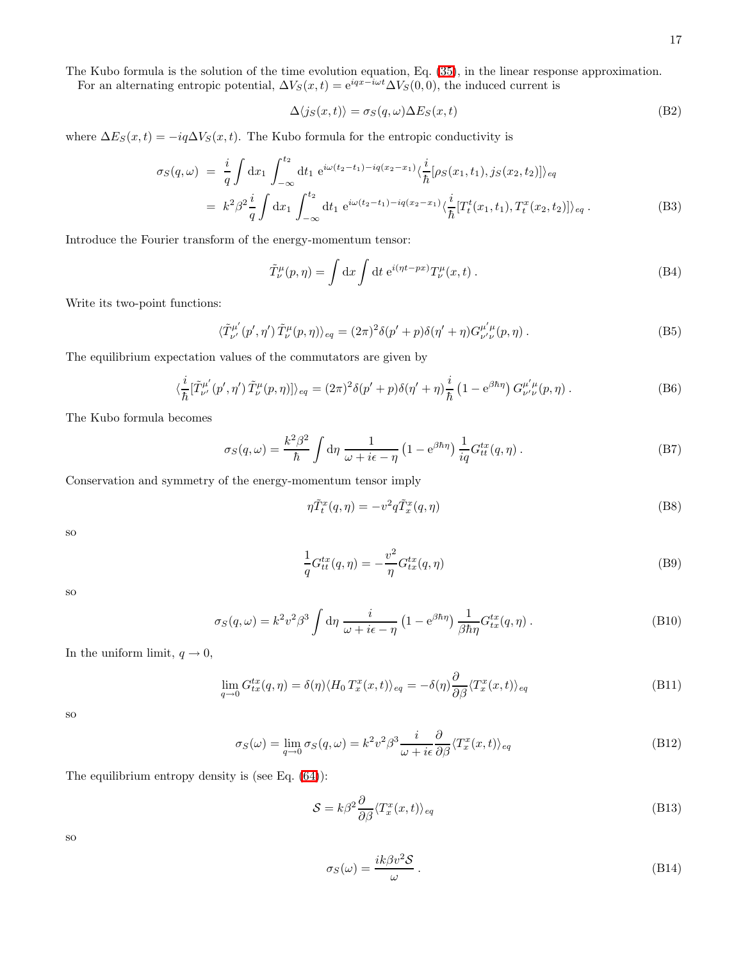The Kubo formula is the solution of the time evolution equation, Eq. [\(35\)](#page-7-0), in the linear response approximation.

For an alternating entropic potential,  $\Delta V_S(x,t) = e^{iqx-\hat{i}\omega t} \Delta V_S(0,0)$ , the induced current is

$$
\Delta\langle j_S(x,t)\rangle = \sigma_S(q,\omega)\Delta E_S(x,t)
$$
\n(B2)

where  $\Delta E_S(x,t) = -iq\Delta V_S(x,t)$ . The Kubo formula for the entropic conductivity is

$$
\sigma_S(q,\omega) = \frac{i}{q} \int dx_1 \int_{-\infty}^{t_2} dt_1 e^{i\omega(t_2 - t_1) - iq(x_2 - x_1)} \langle \frac{i}{\hbar} [\rho_S(x_1, t_1), j_S(x_2, t_2)] \rangle_{eq}
$$
  
\n
$$
= k^2 \beta^2 \frac{i}{q} \int dx_1 \int_{-\infty}^{t_2} dt_1 e^{i\omega(t_2 - t_1) - iq(x_2 - x_1)} \langle \frac{i}{\hbar} [T_t^t(x_1, t_1), T_t^x(x_2, t_2)] \rangle_{eq}.
$$
 (B3)

Introduce the Fourier transform of the energy-momentum tensor:

$$
\tilde{T}^{\mu}_{\nu}(p,\eta) = \int dx \int dt e^{i(\eta t - px)} T^{\mu}_{\nu}(x,t).
$$
\n(B4)

Write its two-point functions:

$$
\langle \tilde{T}^{\mu'}_{\nu'}(p',\eta') \tilde{T}^{\mu}_{\nu}(p,\eta) \rangle_{eq} = (2\pi)^2 \delta(p' + p) \delta(\eta' + \eta) G^{\mu'\mu}_{\nu'\nu}(p,\eta) . \tag{B5}
$$

The equilibrium expectation values of the commutators are given by

$$
\langle \frac{i}{\hbar} [\tilde{T}^{\mu'}_{\nu'}(p',\eta') \tilde{T}^{\mu}_{\nu}(p,\eta)] \rangle_{eq} = (2\pi)^2 \delta(p' + p) \delta(\eta' + \eta) \frac{i}{\hbar} \left(1 - e^{\beta \hbar \eta} \right) G^{\mu' \mu}_{\nu' \nu}(p,\eta) . \tag{B6}
$$

The Kubo formula becomes

$$
\sigma_S(q,\omega) = \frac{k^2 \beta^2}{\hbar} \int d\eta \, \frac{1}{\omega + i\epsilon - \eta} \left( 1 - e^{\beta \hbar \eta} \right) \frac{1}{iq} G_{tt}^{tx}(q,\eta) \,. \tag{B7}
$$

Conservation and symmetry of the energy-momentum tensor imply

$$
\eta \tilde{T}_t^x(q,\eta) = -v^2 q \tilde{T}_x^x(q,\eta) \tag{B8}
$$

so

$$
\frac{1}{q}G_{tt}^{tx}(q,\eta) = -\frac{v^2}{\eta}G_{tx}^{tx}(q,\eta)
$$
\n(B9)

so

$$
\sigma_S(q,\omega) = k^2 v^2 \beta^3 \int d\eta \, \frac{i}{\omega + i\epsilon - \eta} \left( 1 - e^{\beta \hbar \eta} \right) \frac{1}{\beta \hbar \eta} G_{tx}^{tx}(q,\eta) \,. \tag{B10}
$$

In the uniform limit,  $q \to 0,$ 

$$
\lim_{q \to 0} G_{tx}^{tx}(q, \eta) = \delta(\eta) \langle H_0 T_x^x(x, t) \rangle_{eq} = -\delta(\eta) \frac{\partial}{\partial \beta} \langle T_x^x(x, t) \rangle_{eq} \tag{B11}
$$

so

$$
\sigma_S(\omega) = \lim_{q \to 0} \sigma_S(q, \omega) = k^2 v^2 \beta^3 \frac{i}{\omega + i\epsilon} \frac{\partial}{\partial \beta} \langle T_x^x(x, t) \rangle_{eq} \tag{B12}
$$

The equilibrium entropy density is (see Eq. [\(64\)](#page-10-2)):

$$
S = k\beta^2 \frac{\partial}{\partial \beta} \langle T_x^x(x, t) \rangle_{eq} \tag{B13}
$$

so

$$
\sigma_S(\omega) = \frac{ik\beta v^2 \mathcal{S}}{\omega} \,. \tag{B14}
$$